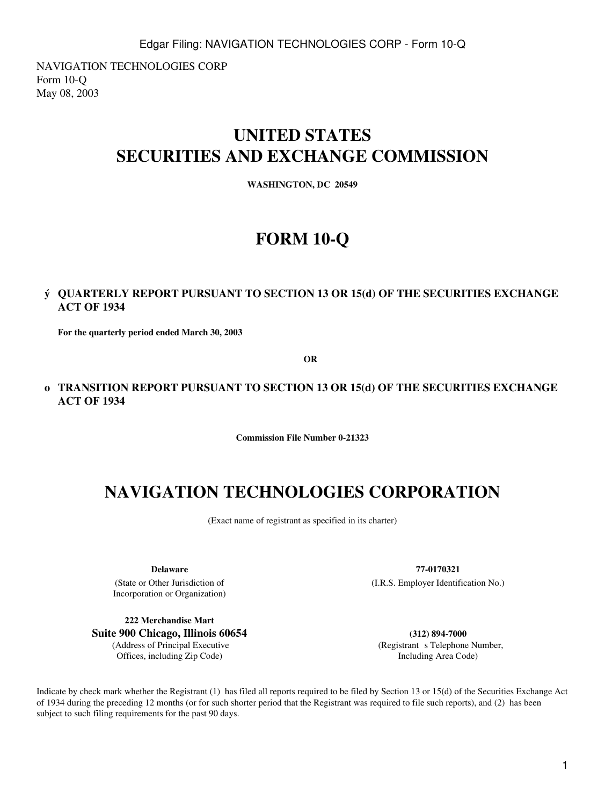NAVIGATION TECHNOLOGIES CORP Form 10-Q May 08, 2003

# **UNITED STATES SECURITIES AND EXCHANGE COMMISSION**

**WASHINGTON, DC 20549**

# **FORM 10-Q**

# **ý QUARTERLY REPORT PURSUANT TO SECTION 13 OR 15(d) OF THE SECURITIES EXCHANGE ACT OF 1934**

**For the quarterly period ended March 30, 2003**

**OR**

# **o TRANSITION REPORT PURSUANT TO SECTION 13 OR 15(d) OF THE SECURITIES EXCHANGE ACT OF 1934**

**Commission File Number 0-21323**

# **NAVIGATION TECHNOLOGIES CORPORATION**

(Exact name of registrant as specified in its charter)

(State or Other Jurisdiction of Incorporation or Organization)

**222 Merchandise Mart Suite 900 Chicago, Illinois 60654 (312) 894-7000** (Address of Principal Executive Offices, including Zip Code)

**Delaware 77-0170321** (I.R.S. Employer Identification No.)

> (Registrant s Telephone Number, Including Area Code)

Indicate by check mark whether the Registrant (1) has filed all reports required to be filed by Section 13 or 15(d) of the Securities Exchange Act of 1934 during the preceding 12 months (or for such shorter period that the Registrant was required to file such reports), and (2) has been subject to such filing requirements for the past 90 days.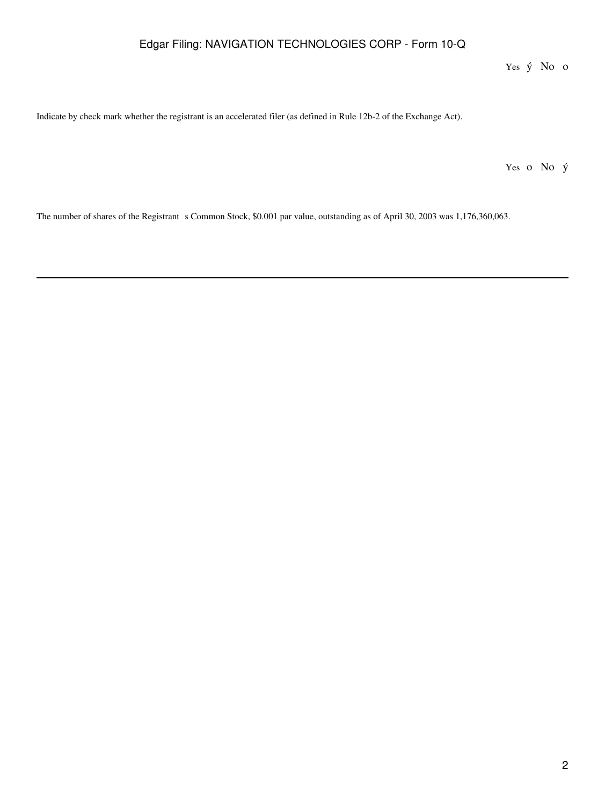Yes ý No o

Indicate by check mark whether the registrant is an accelerated filer (as defined in Rule 12b-2 of the Exchange Act).

Yes o No ý

The number of shares of the Registrant s Common Stock, \$0.001 par value, outstanding as of April 30, 2003 was 1,176,360,063.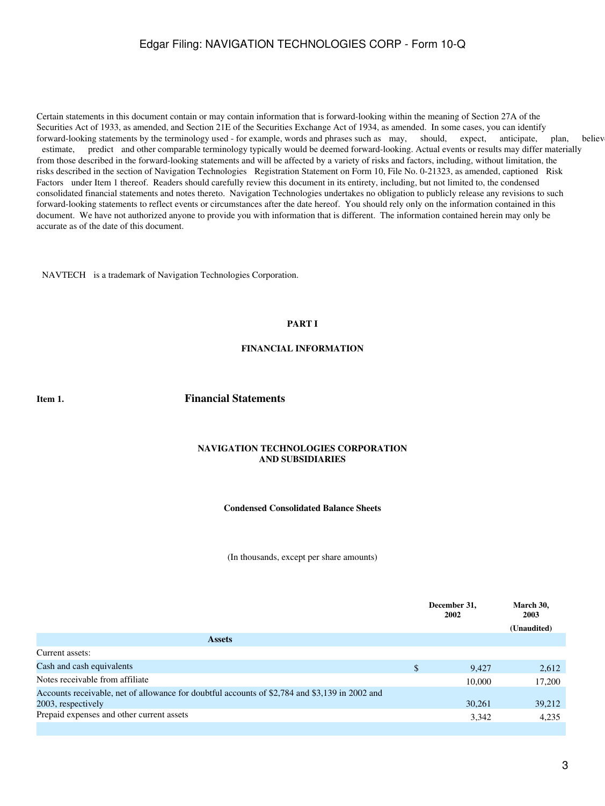Certain statements in this document contain or may contain information that is forward-looking within the meaning of Section 27A of the Securities Act of 1933, as amended, and Section 21E of the Securities Exchange Act of 1934, as amended. In some cases, you can identify forward-looking statements by the terminology used - for example, words and phrases such as may, should, expect, anticipate, plan, believ estimate, predict and other comparable terminology typically would be deemed forward-looking. Actual events or results may differ materially from those described in the forward-looking statements and will be affected by a variety of risks and factors, including, without limitation, the risks described in the section of Navigation Technologies Registration Statement on Form 10, File No. 0-21323, as amended, captioned Risk Factors under Item 1 thereof. Readers should carefully review this document in its entirety, including, but not limited to, the condensed consolidated financial statements and notes thereto. Navigation Technologies undertakes no obligation to publicly release any revisions to such forward-looking statements to reflect events or circumstances after the date hereof. You should rely only on the information contained in this document. We have not authorized anyone to provide you with information that is different. The information contained herein may only be accurate as of the date of this document.

NAVTECH is a trademark of Navigation Technologies Corporation.

#### **PART I**

#### **FINANCIAL INFORMATION**

**Item 1. Financial Statements**

#### **NAVIGATION TECHNOLOGIES CORPORATION AND SUBSIDIARIES**

#### **Condensed Consolidated Balance Sheets**

(In thousands, except per share amounts)

|                                                                                                | December 31,<br>2002 | March 30,<br>2003 |
|------------------------------------------------------------------------------------------------|----------------------|-------------------|
|                                                                                                |                      | (Unaudited)       |
| <b>Assets</b>                                                                                  |                      |                   |
| Current assets:                                                                                |                      |                   |
| Cash and cash equivalents                                                                      | \$<br>9,427          | 2,612             |
| Notes receivable from affiliate.                                                               | 10,000               | 17.200            |
| Accounts receivable, net of allowance for doubtful accounts of \$2,784 and \$3,139 in 2002 and |                      |                   |
| 2003, respectively                                                                             | 30,261               | 39,212            |
| Prepaid expenses and other current assets                                                      | 3,342                | 4,235             |
|                                                                                                |                      |                   |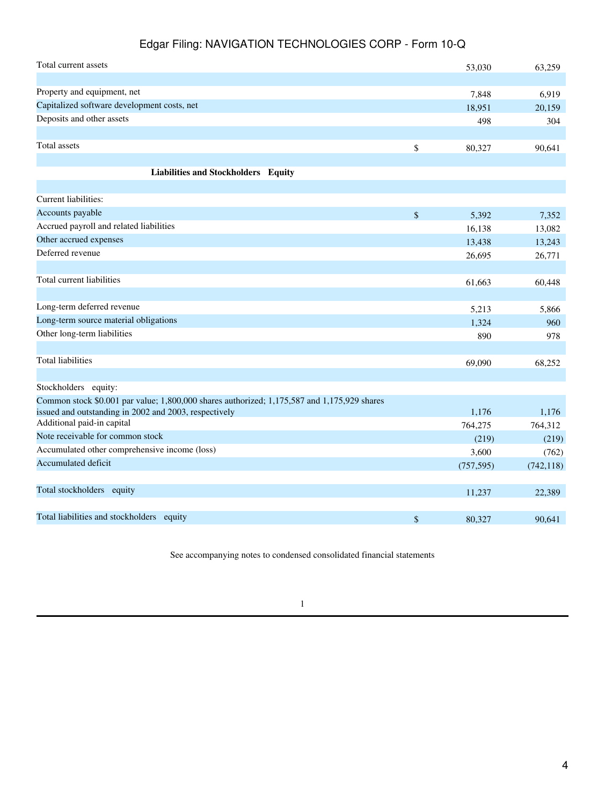| Total current assets                                                                        |               | 53,030     | 63,259     |
|---------------------------------------------------------------------------------------------|---------------|------------|------------|
|                                                                                             |               |            |            |
| Property and equipment, net                                                                 |               | 7,848      | 6,919      |
| Capitalized software development costs, net                                                 |               | 18,951     | 20,159     |
| Deposits and other assets                                                                   |               | 498        | 304        |
| Total assets                                                                                | \$            | 80,327     | 90,641     |
|                                                                                             |               |            |            |
| Liabilities and Stockholders Equity                                                         |               |            |            |
|                                                                                             |               |            |            |
| Current liabilities:                                                                        |               |            |            |
| Accounts payable                                                                            | $\mathcal{S}$ | 5,392      | 7,352      |
| Accrued payroll and related liabilities                                                     |               | 16,138     | 13,082     |
| Other accrued expenses                                                                      |               | 13,438     | 13,243     |
| Deferred revenue                                                                            |               | 26,695     | 26,771     |
|                                                                                             |               |            |            |
| Total current liabilities                                                                   |               | 61,663     | 60,448     |
| Long-term deferred revenue                                                                  |               | 5,213      | 5,866      |
| Long-term source material obligations                                                       |               | 1,324      | 960        |
| Other long-term liabilities                                                                 |               | 890        | 978        |
| <b>Total liabilities</b>                                                                    |               |            |            |
|                                                                                             |               | 69,090     | 68,252     |
| Stockholders equity:                                                                        |               |            |            |
| Common stock \$0.001 par value; 1,800,000 shares authorized; 1,175,587 and 1,175,929 shares |               |            |            |
| issued and outstanding in 2002 and 2003, respectively                                       |               | 1,176      | 1,176      |
| Additional paid-in capital                                                                  |               | 764,275    | 764,312    |
| Note receivable for common stock                                                            |               | (219)      | (219)      |
| Accumulated other comprehensive income (loss)                                               |               | 3,600      | (762)      |
| Accumulated deficit                                                                         |               | (757, 595) | (742, 118) |
| Total stockholders equity                                                                   |               | 11,237     | 22,389     |
|                                                                                             |               |            |            |
| Total liabilities and stockholders equity                                                   | \$            | 80,327     | 90,641     |

See accompanying notes to condensed consolidated financial statements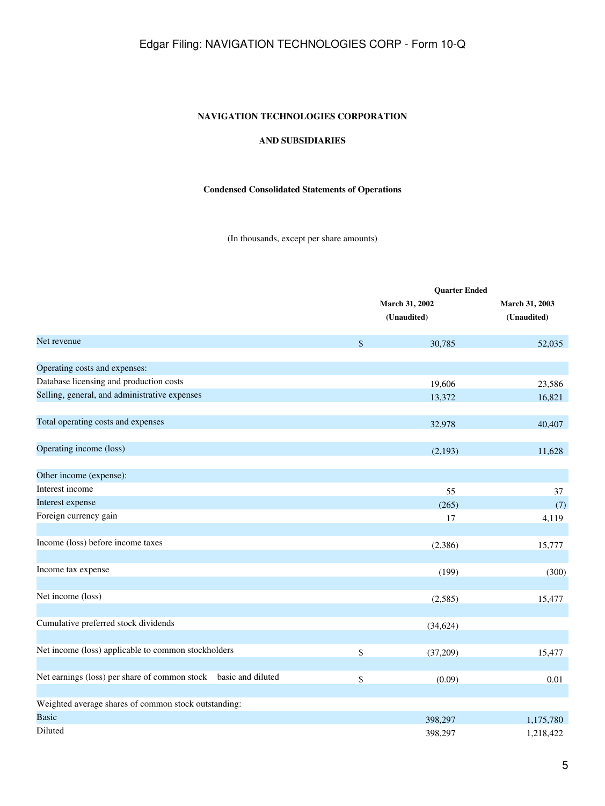#### **NAVIGATION TECHNOLOGIES CORPORATION**

### **AND SUBSIDIARIES**

### **Condensed Consolidated Statements of Operations**

(In thousands, except per share amounts)

|                                                                 |               | <b>Quarter Ended</b> |                |  |  |
|-----------------------------------------------------------------|---------------|----------------------|----------------|--|--|
|                                                                 |               | March 31, 2002       | March 31, 2003 |  |  |
|                                                                 |               | (Unaudited)          |                |  |  |
| Net revenue                                                     | $\frac{1}{2}$ | 30,785               | 52,035         |  |  |
| Operating costs and expenses:                                   |               |                      |                |  |  |
| Database licensing and production costs                         |               | 19,606               | 23,586         |  |  |
| Selling, general, and administrative expenses                   |               | 13,372               | 16,821         |  |  |
| Total operating costs and expenses                              |               | 32,978               | 40,407         |  |  |
|                                                                 |               |                      |                |  |  |
| Operating income (loss)                                         |               | (2,193)              | 11,628         |  |  |
| Other income (expense):                                         |               |                      |                |  |  |
| Interest income                                                 |               | 55                   | 37             |  |  |
| Interest expense                                                |               | (265)                | (7)            |  |  |
| Foreign currency gain                                           |               | 17                   | 4,119          |  |  |
|                                                                 |               |                      |                |  |  |
| Income (loss) before income taxes                               |               | (2,386)              | 15,777         |  |  |
| Income tax expense                                              |               | (199)                | (300)          |  |  |
| Net income (loss)                                               |               | (2,585)              | 15,477         |  |  |
| Cumulative preferred stock dividends                            |               |                      |                |  |  |
|                                                                 |               | (34, 624)            |                |  |  |
| Net income (loss) applicable to common stockholders             | \$            | (37,209)             | 15,477         |  |  |
| Net earnings (loss) per share of common stock basic and diluted | \$            | (0.09)               | 0.01           |  |  |
|                                                                 |               |                      |                |  |  |
| Weighted average shares of common stock outstanding:            |               |                      |                |  |  |
| <b>Basic</b>                                                    |               | 398,297              | 1,175,780      |  |  |
| Diluted                                                         |               | 398,297              | 1,218,422      |  |  |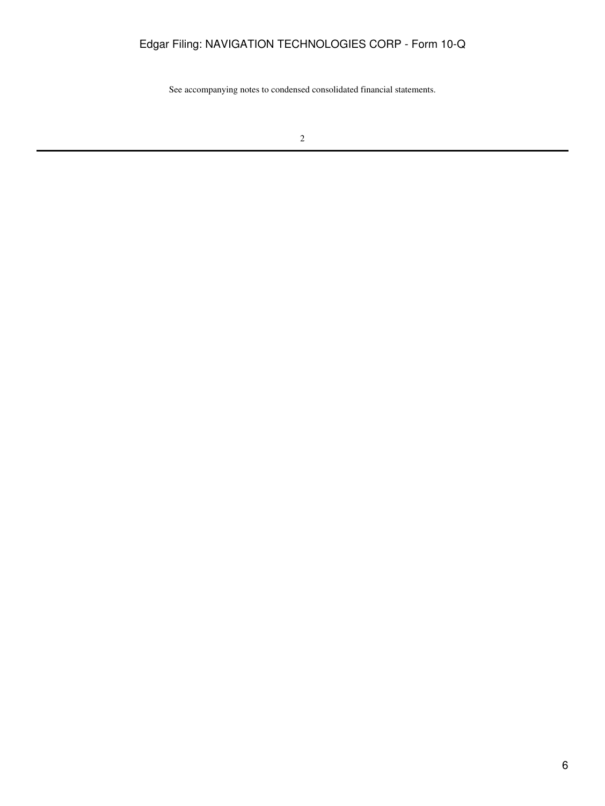See accompanying notes to condensed consolidated financial statements.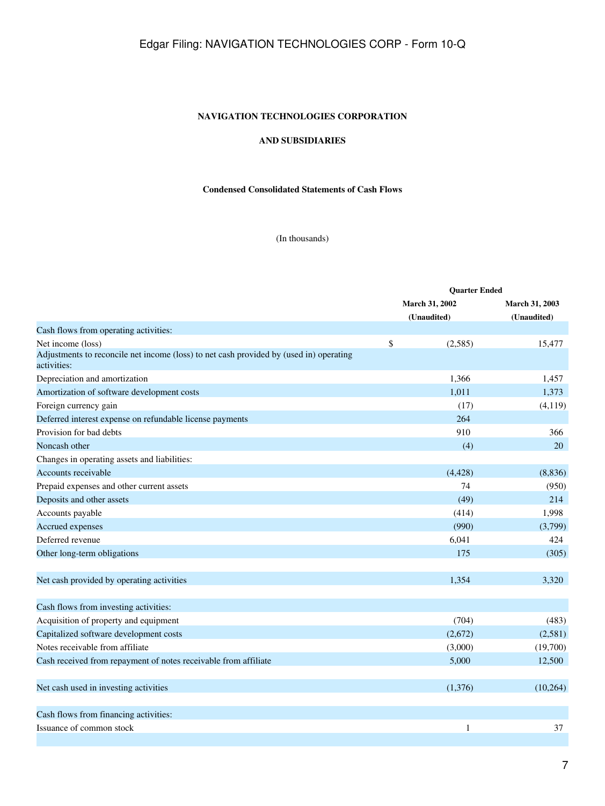#### **NAVIGATION TECHNOLOGIES CORPORATION**

#### **AND SUBSIDIARIES**

#### **Condensed Consolidated Statements of Cash Flows**

#### (In thousands)

|                                                                                                       |                | <b>Ouarter Ended</b> |                |  |
|-------------------------------------------------------------------------------------------------------|----------------|----------------------|----------------|--|
|                                                                                                       | March 31, 2002 |                      | March 31, 2003 |  |
|                                                                                                       |                | (Unaudited)          | (Unaudited)    |  |
| Cash flows from operating activities:                                                                 |                |                      |                |  |
| Net income (loss)                                                                                     | \$             | (2,585)              | 15,477         |  |
| Adjustments to reconcile net income (loss) to net cash provided by (used in) operating<br>activities: |                |                      |                |  |
| Depreciation and amortization                                                                         |                | 1,366                | 1,457          |  |
| Amortization of software development costs                                                            |                | 1,011                | 1,373          |  |
| Foreign currency gain                                                                                 |                | (17)                 | (4, 119)       |  |
| Deferred interest expense on refundable license payments                                              |                | 264                  |                |  |
| Provision for bad debts                                                                               |                | 910                  | 366            |  |
| Noncash other                                                                                         |                | (4)                  | 20             |  |
| Changes in operating assets and liabilities:                                                          |                |                      |                |  |
| Accounts receivable                                                                                   |                | (4, 428)             | (8,836)        |  |
| Prepaid expenses and other current assets                                                             |                | 74                   | (950)          |  |
| Deposits and other assets                                                                             |                | (49)                 | 214            |  |
| Accounts payable                                                                                      |                | (414)                | 1,998          |  |
| Accrued expenses                                                                                      |                | (990)                | (3,799)        |  |
| Deferred revenue                                                                                      |                | 6,041                | 424            |  |
| Other long-term obligations                                                                           |                | 175                  | (305)          |  |
| Net cash provided by operating activities                                                             |                | 1,354                | 3,320          |  |
| Cash flows from investing activities:                                                                 |                |                      |                |  |
| Acquisition of property and equipment                                                                 |                | (704)                | (483)          |  |
| Capitalized software development costs                                                                |                | (2,672)              | (2,581)        |  |
| Notes receivable from affiliate                                                                       |                | (3,000)              | (19,700)       |  |
| Cash received from repayment of notes receivable from affiliate                                       |                | 5,000                | 12,500         |  |
| Net cash used in investing activities                                                                 |                | (1,376)              | (10,264)       |  |
| Cash flows from financing activities:                                                                 |                |                      |                |  |
| Issuance of common stock                                                                              |                | 1                    | 37             |  |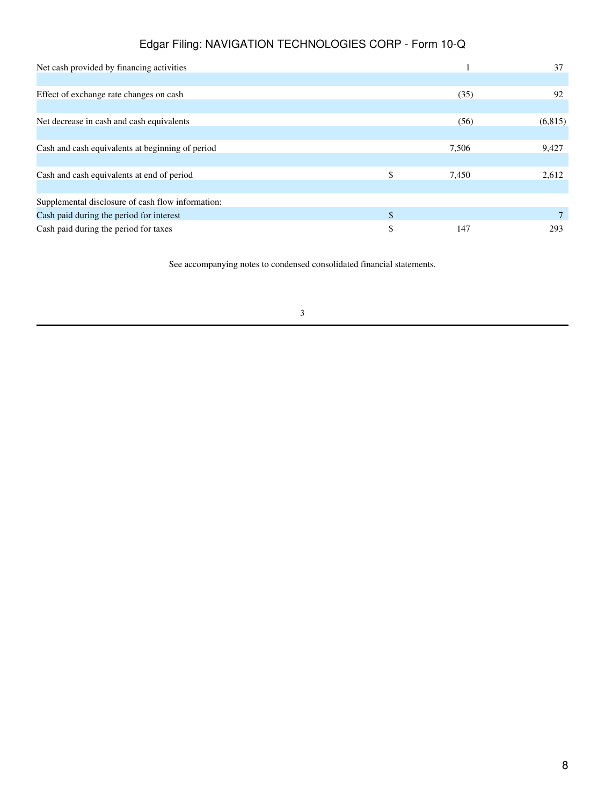| Net cash provided by financing activities         |     |       | 37      |
|---------------------------------------------------|-----|-------|---------|
|                                                   |     |       |         |
| Effect of exchange rate changes on cash           |     | (35)  | 92      |
|                                                   |     |       |         |
| Net decrease in cash and cash equivalents         |     | (56)  | (6,815) |
|                                                   |     |       |         |
| Cash and cash equivalents at beginning of period  |     | 7,506 | 9,427   |
|                                                   |     |       |         |
| Cash and cash equivalents at end of period        | \$  | 7,450 | 2,612   |
|                                                   |     |       |         |
| Supplemental disclosure of cash flow information: |     |       |         |
| Cash paid during the period for interest          | \$. |       |         |
| Cash paid during the period for taxes             | \$  | 147   | 293     |

See accompanying notes to condensed consolidated financial statements.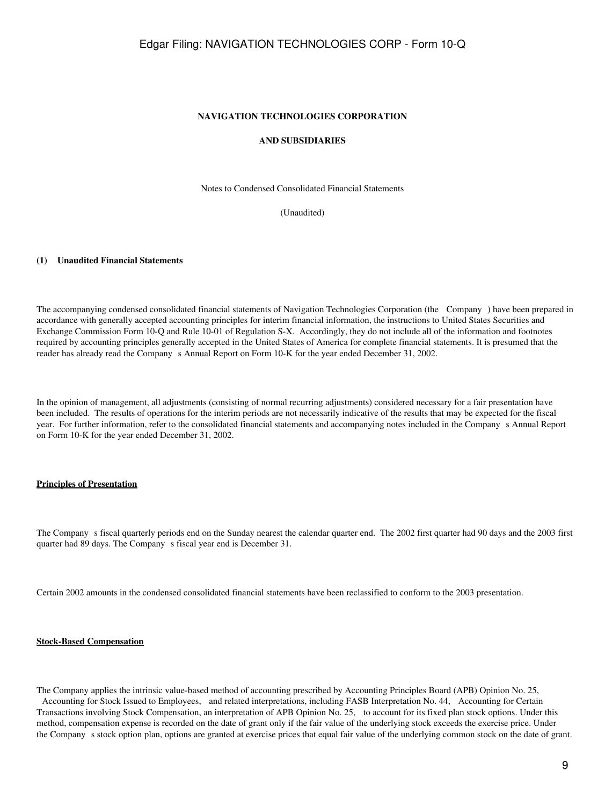#### **NAVIGATION TECHNOLOGIES CORPORATION**

#### **AND SUBSIDIARIES**

Notes to Condensed Consolidated Financial Statements

(Unaudited)

#### **(1) Unaudited Financial Statements**

The accompanying condensed consolidated financial statements of Navigation Technologies Corporation (the Company) have been prepared in accordance with generally accepted accounting principles for interim financial information, the instructions to United States Securities and Exchange Commission Form 10-Q and Rule 10-01 of Regulation S-X. Accordingly, they do not include all of the information and footnotes required by accounting principles generally accepted in the United States of America for complete financial statements. It is presumed that the reader has already read the Company s Annual Report on Form 10-K for the year ended December 31, 2002.

In the opinion of management, all adjustments (consisting of normal recurring adjustments) considered necessary for a fair presentation have been included. The results of operations for the interim periods are not necessarily indicative of the results that may be expected for the fiscal year. For further information, refer to the consolidated financial statements and accompanying notes included in the Companys Annual Report on Form 10-K for the year ended December 31, 2002.

#### **Principles of Presentation**

The Company s fiscal quarterly periods end on the Sunday nearest the calendar quarter end. The 2002 first quarter had 90 days and the 2003 first quarter had 89 days. The Company s fiscal year end is December 31.

Certain 2002 amounts in the condensed consolidated financial statements have been reclassified to conform to the 2003 presentation.

#### **Stock-Based Compensation**

The Company applies the intrinsic value-based method of accounting prescribed by Accounting Principles Board (APB) Opinion No. 25, Accounting for Stock Issued to Employees, and related interpretations, including FASB Interpretation No. 44, Accounting for Certain Transactions involving Stock Compensation, an interpretation of APB Opinion No. 25, to account for its fixed plan stock options. Under this method, compensation expense is recorded on the date of grant only if the fair value of the underlying stock exceeds the exercise price. Under the Companys stock option plan, options are granted at exercise prices that equal fair value of the underlying common stock on the date of grant.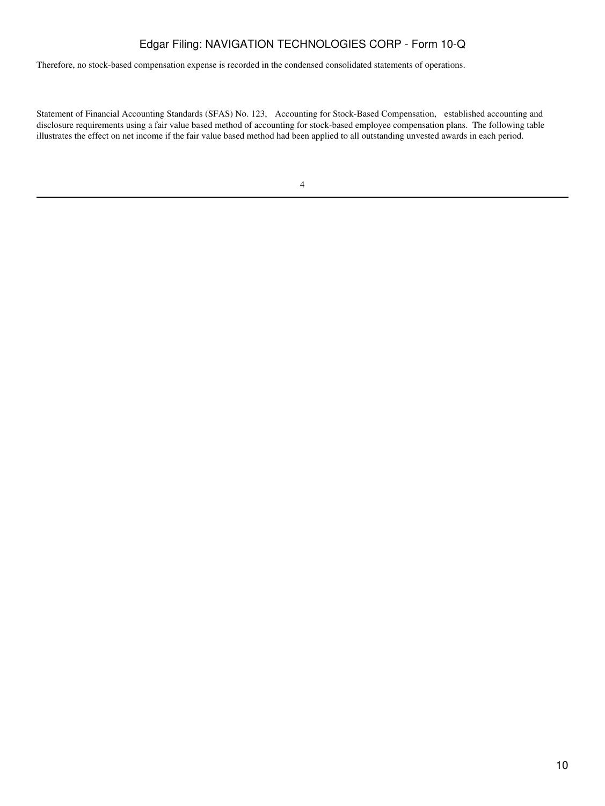Therefore, no stock-based compensation expense is recorded in the condensed consolidated statements of operations.

Statement of Financial Accounting Standards (SFAS) No. 123, Accounting for Stock-Based Compensation, established accounting and disclosure requirements using a fair value based method of accounting for stock-based employee compensation plans. The following table illustrates the effect on net income if the fair value based method had been applied to all outstanding unvested awards in each period.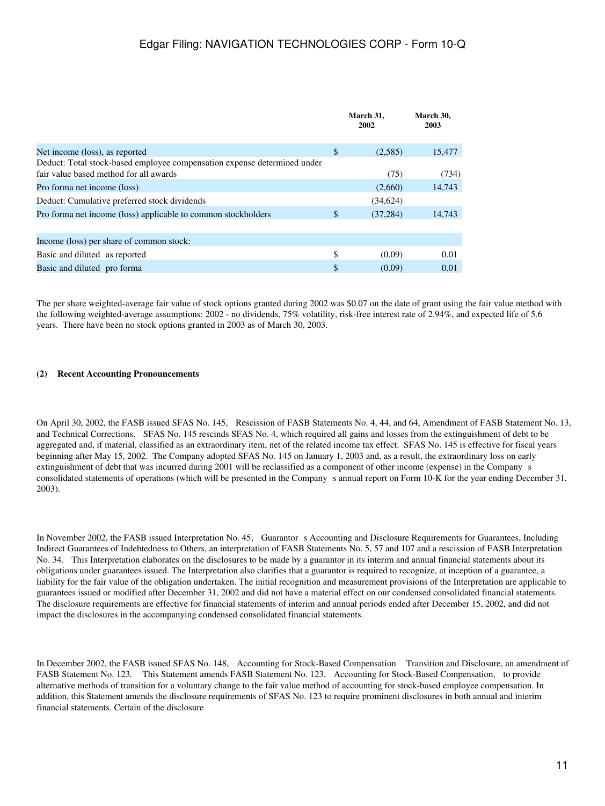|                                                                          | March 31,<br>2002 | March 30,<br>2003 |
|--------------------------------------------------------------------------|-------------------|-------------------|
| Net income (loss), as reported                                           | \$<br>(2,585)     | 15,477            |
| Deduct: Total stock-based employee compensation expense determined under |                   |                   |
| fair value based method for all awards                                   | (75)              | (734)             |
| Pro forma net income (loss)                                              | (2,660)           | 14,743            |
| Deduct: Cumulative preferred stock dividends                             | (34, 624)         |                   |
| Pro forma net income (loss) applicable to common stockholders            | \$<br>(37, 284)   | 14,743            |
|                                                                          |                   |                   |
| Income (loss) per share of common stock:                                 |                   |                   |
| Basic and diluted as reported                                            | \$<br>(0.09)      | 0.01              |
| Basic and diluted pro forma                                              | \$<br>(0.09)      | 0.01              |

The per share weighted-average fair value of stock options granted during 2002 was \$0.07 on the date of grant using the fair value method with the following weighted-average assumptions: 2002 - no dividends, 75% volatility, risk-free interest rate of 2.94%, and expected life of 5.6 years. There have been no stock options granted in 2003 as of March 30, 2003.

#### **(2) Recent Accounting Pronouncements**

On April 30, 2002, the FASB issued SFAS No. 145, Rescission of FASB Statements No. 4, 44, and 64, Amendment of FASB Statement No. 13, and Technical Corrections. SFAS No. 145 rescinds SFAS No. 4, which required all gains and losses from the extinguishment of debt to be aggregated and, if material, classified as an extraordinary item, net of the related income tax effect. SFAS No. 145 is effective for fiscal years beginning after May 15, 2002. The Company adopted SFAS No. 145 on January 1, 2003 and, as a result, the extraordinary loss on early extinguishment of debt that was incurred during 2001 will be reclassified as a component of other income (expense) in the Companys consolidated statements of operations (which will be presented in the Companys annual report on Form 10-K for the year ending December 31, 2003).

In November 2002, the FASB issued Interpretation No. 45, Guarantors Accounting and Disclosure Requirements for Guarantees, Including Indirect Guarantees of Indebtedness to Others, an interpretation of FASB Statements No. 5, 57 and 107 and a rescission of FASB Interpretation No. 34. This Interpretation elaborates on the disclosures to be made by a guarantor in its interim and annual financial statements about its obligations under guarantees issued. The Interpretation also clarifies that a guarantor is required to recognize, at inception of a guarantee, a liability for the fair value of the obligation undertaken. The initial recognition and measurement provisions of the Interpretation are applicable to guarantees issued or modified after December 31, 2002 and did not have a material effect on our condensed consolidated financial statements. The disclosure requirements are effective for financial statements of interim and annual periods ended after December 15, 2002, and did not impact the disclosures in the accompanying condensed consolidated financial statements.

In December 2002, the FASB issued SFAS No. 148, Accounting for Stock-Based Compensation Transition and Disclosure, an amendment of FASB Statement No. 123*.* This Statement amends FASB Statement No. 123, Accounting for Stock-Based Compensation, to provide alternative methods of transition for a voluntary change to the fair value method of accounting for stock-based employee compensation. In addition, this Statement amends the disclosure requirements of SFAS No. 123 to require prominent disclosures in both annual and interim financial statements. Certain of the disclosure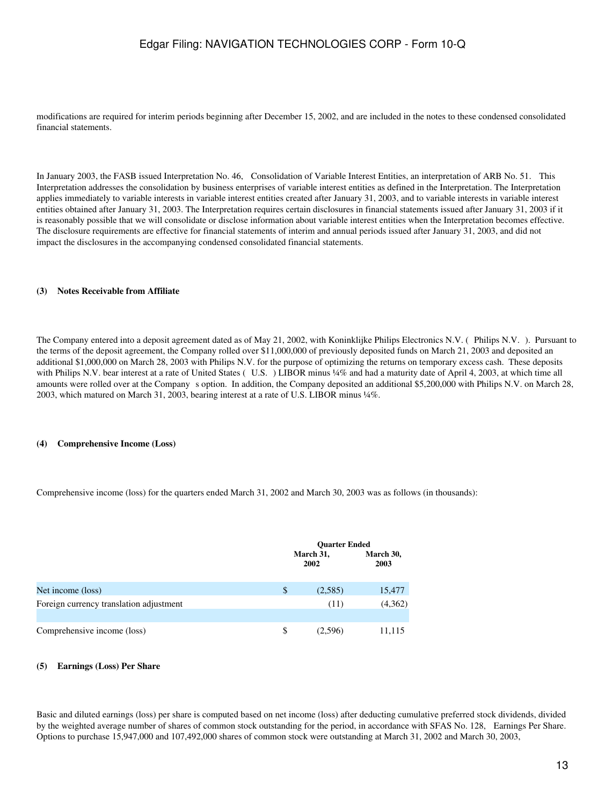modifications are required for interim periods beginning after December 15, 2002, and are included in the notes to these condensed consolidated financial statements.

In January 2003, the FASB issued Interpretation No. 46, Consolidation of Variable Interest Entities, an interpretation of ARB No. 51. This Interpretation addresses the consolidation by business enterprises of variable interest entities as defined in the Interpretation. The Interpretation applies immediately to variable interests in variable interest entities created after January 31, 2003, and to variable interests in variable interest entities obtained after January 31, 2003. The Interpretation requires certain disclosures in financial statements issued after January 31, 2003 if it is reasonably possible that we will consolidate or disclose information about variable interest entities when the Interpretation becomes effective. The disclosure requirements are effective for financial statements of interim and annual periods issued after January 31, 2003, and did not impact the disclosures in the accompanying condensed consolidated financial statements.

#### **(3) Notes Receivable from Affiliate**

The Company entered into a deposit agreement dated as of May 21, 2002, with Koninklijke Philips Electronics N.V. (Philips N.V.). Pursuant to the terms of the deposit agreement, the Company rolled over \$11,000,000 of previously deposited funds on March 21, 2003 and deposited an additional \$1,000,000 on March 28, 2003 with Philips N.V. for the purpose of optimizing the returns on temporary excess cash. These deposits with Philips N.V. bear interest at a rate of United States (U.S.) LIBOR minus ¼% and had a maturity date of April 4, 2003, at which time all amounts were rolled over at the Companys option. In addition, the Company deposited an additional \$5,200,000 with Philips N.V. on March 28, 2003, which matured on March 31, 2003, bearing interest at a rate of U.S. LIBOR minus ¼%.

#### **(4) Comprehensive Income (Loss)**

Comprehensive income (loss) for the quarters ended March 31, 2002 and March 30, 2003 was as follows (in thousands):

|                                         |     | <b>Ouarter Ended</b> |                   |  |
|-----------------------------------------|-----|----------------------|-------------------|--|
|                                         |     | March 31,<br>2002    | March 30,<br>2003 |  |
| Net income (loss)                       | \$. | (2,585)              | 15,477            |  |
| Foreign currency translation adjustment |     | (11)                 | (4,362)           |  |
| Comprehensive income (loss)             | S   | (2.596)              | 11.115            |  |

#### **(5) Earnings (Loss) Per Share**

Basic and diluted earnings (loss) per share is computed based on net income (loss) after deducting cumulative preferred stock dividends, divided by the weighted average number of shares of common stock outstanding for the period, in accordance with SFAS No. 128, Earnings Per Share. Options to purchase 15,947,000 and 107,492,000 shares of common stock were outstanding at March 31, 2002 and March 30, 2003,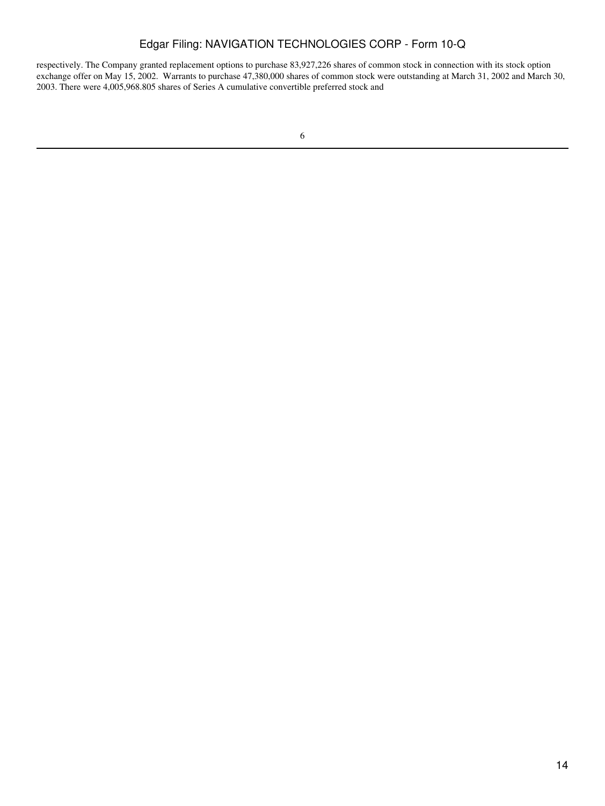respectively. The Company granted replacement options to purchase 83,927,226 shares of common stock in connection with its stock option exchange offer on May 15, 2002. Warrants to purchase 47,380,000 shares of common stock were outstanding at March 31, 2002 and March 30, 2003. There were 4,005,968.805 shares of Series A cumulative convertible preferred stock and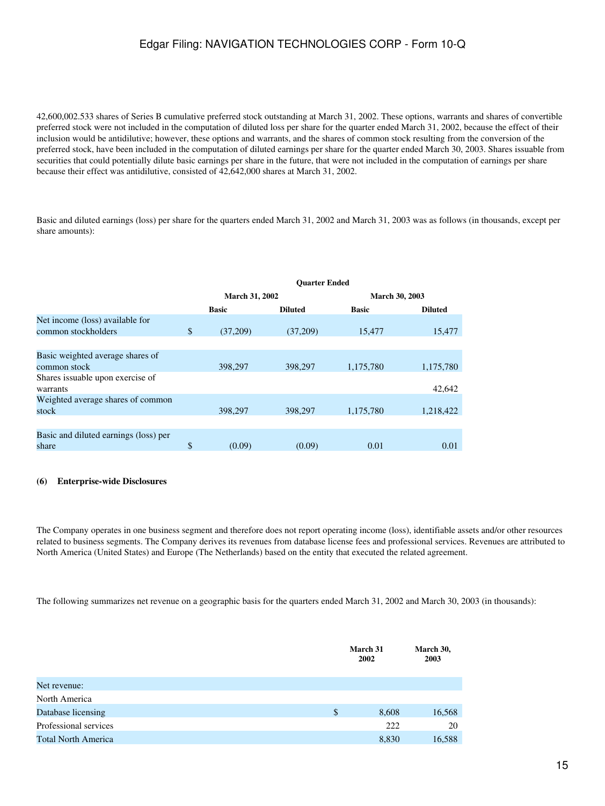42,600,002.533 shares of Series B cumulative preferred stock outstanding at March 31, 2002. These options, warrants and shares of convertible preferred stock were not included in the computation of diluted loss per share for the quarter ended March 31, 2002, because the effect of their inclusion would be antidilutive; however, these options and warrants, and the shares of common stock resulting from the conversion of the preferred stock, have been included in the computation of diluted earnings per share for the quarter ended March 30, 2003. Shares issuable from securities that could potentially dilute basic earnings per share in the future, that were not included in the computation of earnings per share because their effect was antidilutive, consisted of 42,642,000 shares at March 31, 2002.

Basic and diluted earnings (loss) per share for the quarters ended March 31, 2002 and March 31, 2003 was as follows (in thousands, except per share amounts):

|                                       |              |                       | <b>Ouarter Ended</b> |                       |                |
|---------------------------------------|--------------|-----------------------|----------------------|-----------------------|----------------|
|                                       |              | <b>March 31, 2002</b> |                      | <b>March 30, 2003</b> |                |
|                                       |              | <b>Basic</b>          | <b>Diluted</b>       | <b>Basic</b>          | <b>Diluted</b> |
| Net income (loss) available for       |              |                       |                      |                       |                |
| common stockholders                   | $\mathbb{S}$ | (37,209)              | (37,209)             | 15,477                | 15,477         |
|                                       |              |                       |                      |                       |                |
| Basic weighted average shares of      |              |                       |                      |                       |                |
| common stock                          |              | 398,297               | 398,297              | 1,175,780             | 1,175,780      |
| Shares is suable upon exercise of     |              |                       |                      |                       |                |
| warrants                              |              |                       |                      |                       | 42,642         |
| Weighted average shares of common     |              |                       |                      |                       |                |
| stock                                 |              | 398,297               | 398,297              | 1,175,780             | 1,218,422      |
|                                       |              |                       |                      |                       |                |
| Basic and diluted earnings (loss) per |              |                       |                      |                       |                |
| share                                 | \$           | (0.09)                | (0.09)               | 0.01                  | 0.01           |

#### **(6) Enterprise-wide Disclosures**

The Company operates in one business segment and therefore does not report operating income (loss), identifiable assets and/or other resources related to business segments. The Company derives its revenues from database license fees and professional services. Revenues are attributed to North America (United States) and Europe (The Netherlands) based on the entity that executed the related agreement.

The following summarizes net revenue on a geographic basis for the quarters ended March 31, 2002 and March 30, 2003 (in thousands):

|                            |               | March 31<br>2002 | March 30,<br>2003 |
|----------------------------|---------------|------------------|-------------------|
| Net revenue:               |               |                  |                   |
| North America              |               |                  |                   |
| Database licensing         | <sup>\$</sup> | 8,608            | 16,568            |
| Professional services      |               | 222              | 20                |
| <b>Total North America</b> |               | 8,830            | 16,588            |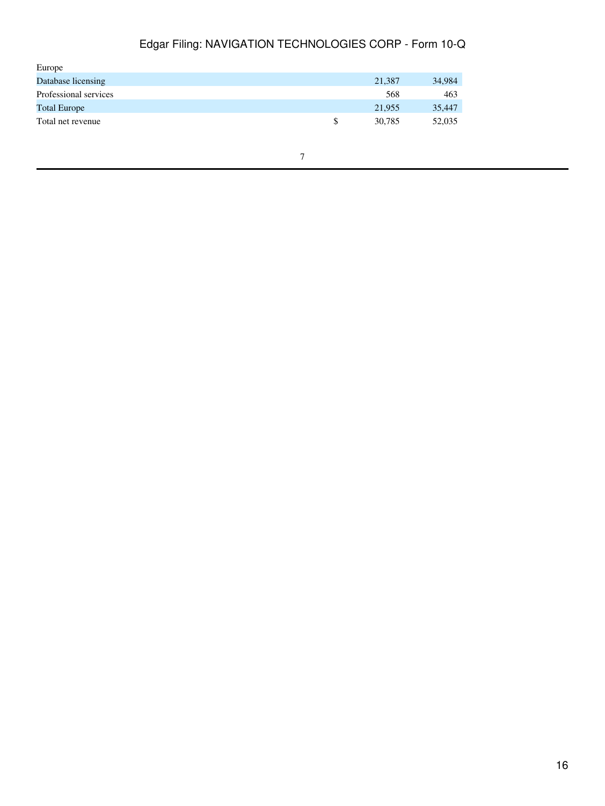| Europe                |              |        |
|-----------------------|--------------|--------|
| Database licensing    | 21,387       | 34,984 |
| Professional services | 568          | 463    |
| <b>Total Europe</b>   | 21,955       | 35,447 |
| Total net revenue     | \$<br>30,785 | 52,035 |
|                       |              |        |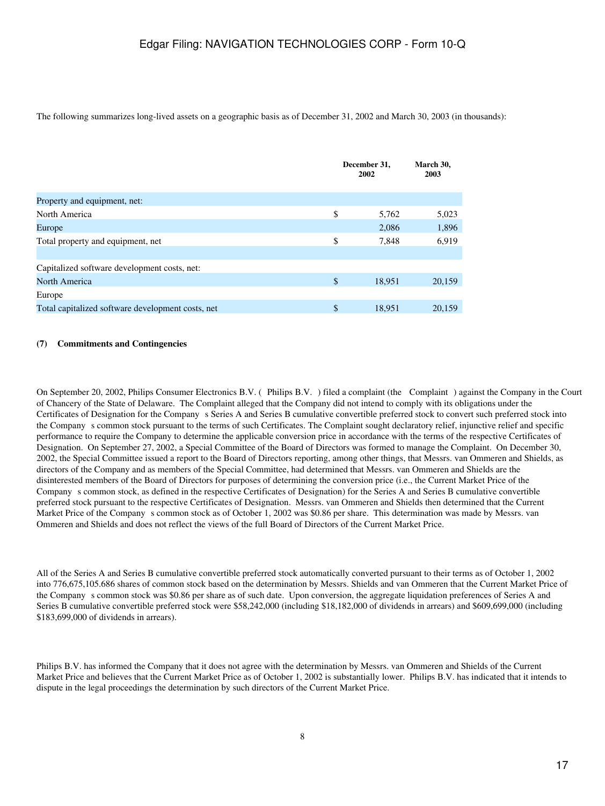|                                                   | December 31,<br>2002 | March 30,<br>2003 |
|---------------------------------------------------|----------------------|-------------------|
| Property and equipment, net:                      |                      |                   |
| North America                                     | \$<br>5,762          | 5,023             |
| Europe                                            | 2,086                | 1,896             |
| Total property and equipment, net                 | \$<br>7,848          | 6,919             |
| Capitalized software development costs, net:      |                      |                   |
| North America                                     | \$<br>18,951         | 20,159            |
| Europe                                            |                      |                   |
| Total capitalized software development costs, net | \$<br>18.951         | 20,159            |

The following summarizes long-lived assets on a geographic basis as of December 31, 2002 and March 30, 2003 (in thousands):

#### **(7) Commitments and Contingencies**

On September 20, 2002, Philips Consumer Electronics B.V. (Philips B.V.) filed a complaint (the Complaint) against the Company in the Court of Chancery of the State of Delaware. The Complaint alleged that the Company did not intend to comply with its obligations under the Certificates of Designation for the Company s Series A and Series B cumulative convertible preferred stock to convert such preferred stock into the Companys common stock pursuant to the terms of such Certificates. The Complaint sought declaratory relief, injunctive relief and specific performance to require the Company to determine the applicable conversion price in accordance with the terms of the respective Certificates of Designation. On September 27, 2002, a Special Committee of the Board of Directors was formed to manage the Complaint. On December 30, 2002, the Special Committee issued a report to the Board of Directors reporting, among other things, that Messrs. van Ommeren and Shields, as directors of the Company and as members of the Special Committee, had determined that Messrs. van Ommeren and Shields are the disinterested members of the Board of Directors for purposes of determining the conversion price (i.e., the Current Market Price of the Companys common stock, as defined in the respective Certificates of Designation) for the Series A and Series B cumulative convertible preferred stock pursuant to the respective Certificates of Designation. Messrs. van Ommeren and Shields then determined that the Current Market Price of the Company s common stock as of October 1, 2002 was \$0.86 per share. This determination was made by Messrs. van Ommeren and Shields and does not reflect the views of the full Board of Directors of the Current Market Price.

All of the Series A and Series B cumulative convertible preferred stock automatically converted pursuant to their terms as of October 1, 2002 into 776,675,105.686 shares of common stock based on the determination by Messrs. Shields and van Ommeren that the Current Market Price of the Company s common stock was \$0.86 per share as of such date. Upon conversion, the aggregate liquidation preferences of Series A and Series B cumulative convertible preferred stock were \$58,242,000 (including \$18,182,000 of dividends in arrears) and \$609,699,000 (including \$183,699,000 of dividends in arrears).

Philips B.V. has informed the Company that it does not agree with the determination by Messrs. van Ommeren and Shields of the Current Market Price and believes that the Current Market Price as of October 1, 2002 is substantially lower. Philips B.V. has indicated that it intends to dispute in the legal proceedings the determination by such directors of the Current Market Price.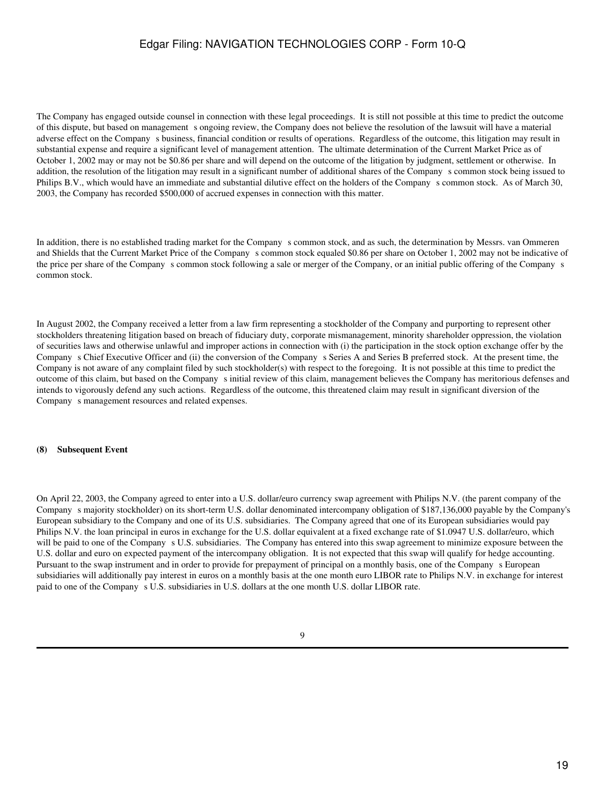The Company has engaged outside counsel in connection with these legal proceedings. It is still not possible at this time to predict the outcome of this dispute, but based on managements ongoing review, the Company does not believe the resolution of the lawsuit will have a material adverse effect on the Companys business, financial condition or results of operations. Regardless of the outcome, this litigation may result in substantial expense and require a significant level of management attention. The ultimate determination of the Current Market Price as of October 1, 2002 may or may not be \$0.86 per share and will depend on the outcome of the litigation by judgment, settlement or otherwise. In addition, the resolution of the litigation may result in a significant number of additional shares of the Companys common stock being issued to Philips B.V., which would have an immediate and substantial dilutive effect on the holders of the Company s common stock. As of March 30, 2003, the Company has recorded \$500,000 of accrued expenses in connection with this matter.

In addition, there is no established trading market for the Company s common stock, and as such, the determination by Messrs. van Ommeren and Shields that the Current Market Price of the Company s common stock equaled \$0.86 per share on October 1, 2002 may not be indicative of the price per share of the Company s common stock following a sale or merger of the Company, or an initial public offering of the Company s common stock.

In August 2002, the Company received a letter from a law firm representing a stockholder of the Company and purporting to represent other stockholders threatening litigation based on breach of fiduciary duty, corporate mismanagement, minority shareholder oppression, the violation of securities laws and otherwise unlawful and improper actions in connection with (i) the participation in the stock option exchange offer by the Companys Chief Executive Officer and (ii) the conversion of the Companys Series A and Series B preferred stock. At the present time, the Company is not aware of any complaint filed by such stockholder(s) with respect to the foregoing. It is not possible at this time to predict the outcome of this claim, but based on the Companys initial review of this claim, management believes the Company has meritorious defenses and intends to vigorously defend any such actions. Regardless of the outcome, this threatened claim may result in significant diversion of the Company s management resources and related expenses.

#### **(8) Subsequent Event**

On April 22, 2003, the Company agreed to enter into a U.S. dollar/euro currency swap agreement with Philips N.V. (the parent company of the Companys majority stockholder) on its short-term U.S. dollar denominated intercompany obligation of \$187,136,000 payable by the Company's European subsidiary to the Company and one of its U.S. subsidiaries. The Company agreed that one of its European subsidiaries would pay Philips N.V. the loan principal in euros in exchange for the U.S. dollar equivalent at a fixed exchange rate of \$1.0947 U.S. dollar/euro, which will be paid to one of the Company s U.S. subsidiaries. The Company has entered into this swap agreement to minimize exposure between the U.S. dollar and euro on expected payment of the intercompany obligation. It is not expected that this swap will qualify for hedge accounting. Pursuant to the swap instrument and in order to provide for prepayment of principal on a monthly basis, one of the Company s European subsidiaries will additionally pay interest in euros on a monthly basis at the one month euro LIBOR rate to Philips N.V. in exchange for interest paid to one of the Company s U.S. subsidiaries in U.S. dollars at the one month U.S. dollar LIBOR rate.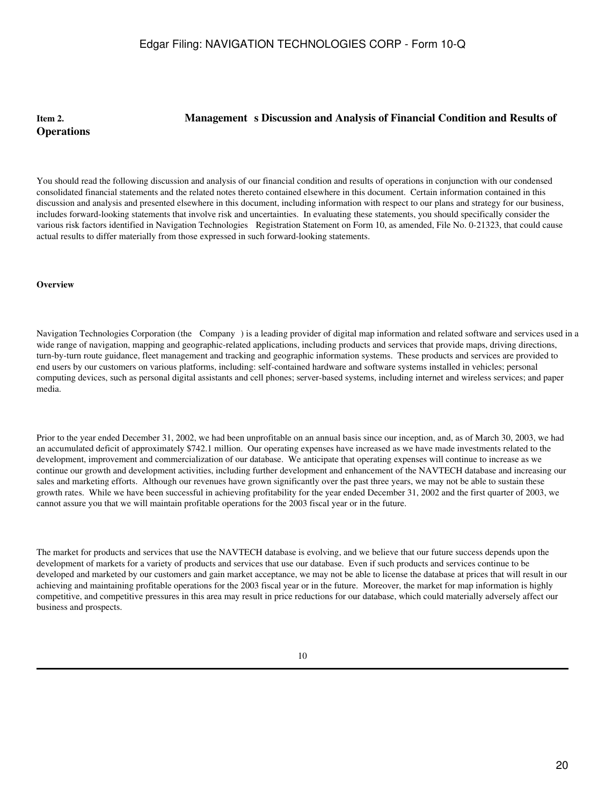## **Item 2. Management s Discussion and Analysis of Financial Condition and Results of Operations**

You should read the following discussion and analysis of our financial condition and results of operations in conjunction with our condensed consolidated financial statements and the related notes thereto contained elsewhere in this document. Certain information contained in this discussion and analysis and presented elsewhere in this document, including information with respect to our plans and strategy for our business, includes forward-looking statements that involve risk and uncertainties. In evaluating these statements, you should specifically consider the various risk factors identified in Navigation Technologies Registration Statement on Form 10, as amended, File No. 0-21323, that could cause actual results to differ materially from those expressed in such forward-looking statements.

#### **Overview**

Navigation Technologies Corporation (the Company) is a leading provider of digital map information and related software and services used in a wide range of navigation, mapping and geographic-related applications, including products and services that provide maps, driving directions, turn-by-turn route guidance, fleet management and tracking and geographic information systems. These products and services are provided to end users by our customers on various platforms, including: self-contained hardware and software systems installed in vehicles; personal computing devices, such as personal digital assistants and cell phones; server-based systems, including internet and wireless services; and paper media.

Prior to the year ended December 31, 2002, we had been unprofitable on an annual basis since our inception, and, as of March 30, 2003, we had an accumulated deficit of approximately \$742.1 million. Our operating expenses have increased as we have made investments related to the development, improvement and commercialization of our database. We anticipate that operating expenses will continue to increase as we continue our growth and development activities, including further development and enhancement of the NAVTECH database and increasing our sales and marketing efforts. Although our revenues have grown significantly over the past three years, we may not be able to sustain these growth rates. While we have been successful in achieving profitability for the year ended December 31, 2002 and the first quarter of 2003, we cannot assure you that we will maintain profitable operations for the 2003 fiscal year or in the future.

The market for products and services that use the NAVTECH database is evolving, and we believe that our future success depends upon the development of markets for a variety of products and services that use our database. Even if such products and services continue to be developed and marketed by our customers and gain market acceptance, we may not be able to license the database at prices that will result in our achieving and maintaining profitable operations for the 2003 fiscal year or in the future. Moreover, the market for map information is highly competitive, and competitive pressures in this area may result in price reductions for our database, which could materially adversely affect our business and prospects.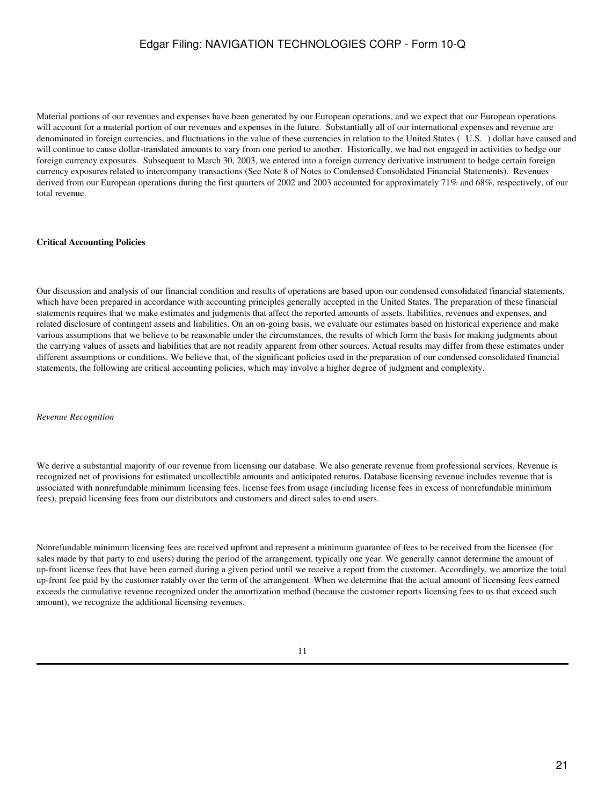Material portions of our revenues and expenses have been generated by our European operations, and we expect that our European operations will account for a material portion of our revenues and expenses in the future. Substantially all of our international expenses and revenue are denominated in foreign currencies, and fluctuations in the value of these currencies in relation to the United States (U.S.) dollar have caused and will continue to cause dollar-translated amounts to vary from one period to another. Historically, we had not engaged in activities to hedge our foreign currency exposures. Subsequent to March 30, 2003, we entered into a foreign currency derivative instrument to hedge certain foreign currency exposures related to intercompany transactions (See Note 8 of Notes to Condensed Consolidated Financial Statements). Revenues derived from our European operations during the first quarters of 2002 and 2003 accounted for approximately 71% and 68%, respectively, of our total revenue.

#### **Critical Accounting Policies**

Our discussion and analysis of our financial condition and results of operations are based upon our condensed consolidated financial statements, which have been prepared in accordance with accounting principles generally accepted in the United States. The preparation of these financial statements requires that we make estimates and judgments that affect the reported amounts of assets, liabilities, revenues and expenses, and related disclosure of contingent assets and liabilities. On an on-going basis, we evaluate our estimates based on historical experience and make various assumptions that we believe to be reasonable under the circumstances, the results of which form the basis for making judgments about the carrying values of assets and liabilities that are not readily apparent from other sources. Actual results may differ from these estimates under different assumptions or conditions. We believe that, of the significant policies used in the preparation of our condensed consolidated financial statements, the following are critical accounting policies, which may involve a higher degree of judgment and complexity.

#### *Revenue Recognition*

We derive a substantial majority of our revenue from licensing our database. We also generate revenue from professional services. Revenue is recognized net of provisions for estimated uncollectible amounts and anticipated returns. Database licensing revenue includes revenue that is associated with nonrefundable minimum licensing fees, license fees from usage (including license fees in excess of nonrefundable minimum fees), prepaid licensing fees from our distributors and customers and direct sales to end users.

Nonrefundable minimum licensing fees are received upfront and represent a minimum guarantee of fees to be received from the licensee (for sales made by that party to end users) during the period of the arrangement, typically one year. We generally cannot determine the amount of up-front license fees that have been earned during a given period until we receive a report from the customer. Accordingly, we amortize the total up-front fee paid by the customer ratably over the term of the arrangement. When we determine that the actual amount of licensing fees earned exceeds the cumulative revenue recognized under the amortization method (because the customer reports licensing fees to us that exceed such amount), we recognize the additional licensing revenues.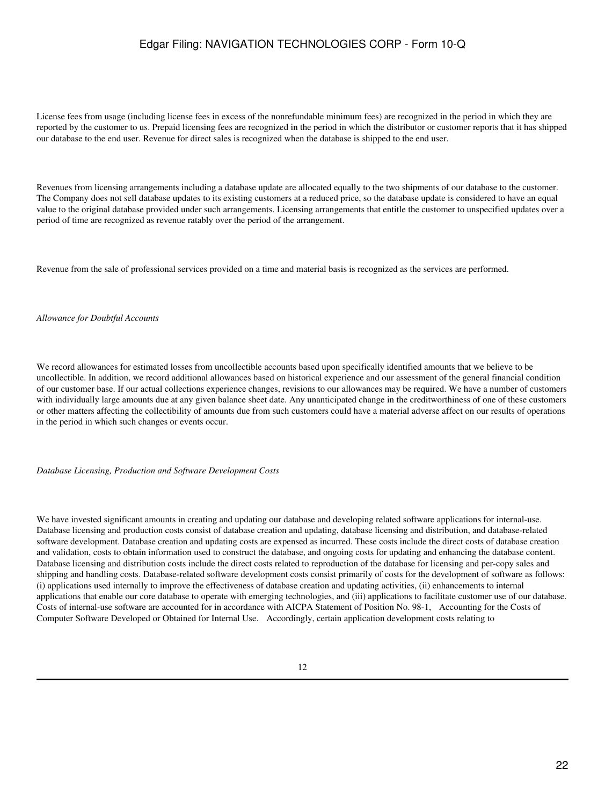License fees from usage (including license fees in excess of the nonrefundable minimum fees) are recognized in the period in which they are reported by the customer to us. Prepaid licensing fees are recognized in the period in which the distributor or customer reports that it has shipped our database to the end user. Revenue for direct sales is recognized when the database is shipped to the end user.

Revenues from licensing arrangements including a database update are allocated equally to the two shipments of our database to the customer. The Company does not sell database updates to its existing customers at a reduced price, so the database update is considered to have an equal value to the original database provided under such arrangements. Licensing arrangements that entitle the customer to unspecified updates over a period of time are recognized as revenue ratably over the period of the arrangement.

Revenue from the sale of professional services provided on a time and material basis is recognized as the services are performed.

#### *Allowance for Doubtful Accounts*

We record allowances for estimated losses from uncollectible accounts based upon specifically identified amounts that we believe to be uncollectible. In addition, we record additional allowances based on historical experience and our assessment of the general financial condition of our customer base. If our actual collections experience changes, revisions to our allowances may be required. We have a number of customers with individually large amounts due at any given balance sheet date. Any unanticipated change in the creditworthiness of one of these customers or other matters affecting the collectibility of amounts due from such customers could have a material adverse affect on our results of operations in the period in which such changes or events occur.

*Database Licensing, Production and Software Development Costs*

We have invested significant amounts in creating and updating our database and developing related software applications for internal-use. Database licensing and production costs consist of database creation and updating, database licensing and distribution, and database-related software development. Database creation and updating costs are expensed as incurred. These costs include the direct costs of database creation and validation, costs to obtain information used to construct the database, and ongoing costs for updating and enhancing the database content. Database licensing and distribution costs include the direct costs related to reproduction of the database for licensing and per-copy sales and shipping and handling costs. Database-related software development costs consist primarily of costs for the development of software as follows: (i) applications used internally to improve the effectiveness of database creation and updating activities, (ii) enhancements to internal applications that enable our core database to operate with emerging technologies, and (iii) applications to facilitate customer use of our database. Costs of internal-use software are accounted for in accordance with AICPA Statement of Position No. 98-1, Accounting for the Costs of Computer Software Developed or Obtained for Internal Use. Accordingly, certain application development costs relating to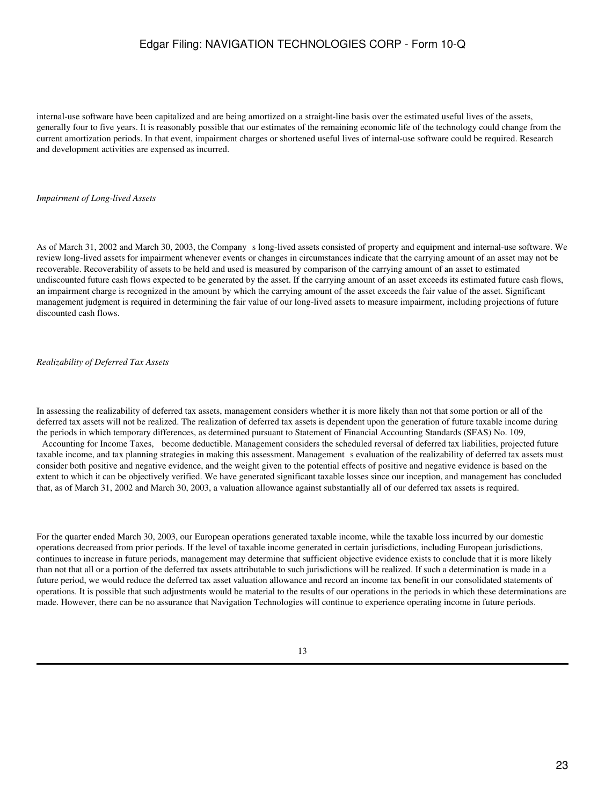internal-use software have been capitalized and are being amortized on a straight-line basis over the estimated useful lives of the assets, generally four to five years. It is reasonably possible that our estimates of the remaining economic life of the technology could change from the current amortization periods. In that event, impairment charges or shortened useful lives of internal-use software could be required. Research and development activities are expensed as incurred.

#### *Impairment of Long-lived Assets*

As of March 31, 2002 and March 30, 2003, the Company s long-lived assets consisted of property and equipment and internal-use software. We review long-lived assets for impairment whenever events or changes in circumstances indicate that the carrying amount of an asset may not be recoverable. Recoverability of assets to be held and used is measured by comparison of the carrying amount of an asset to estimated undiscounted future cash flows expected to be generated by the asset. If the carrying amount of an asset exceeds its estimated future cash flows, an impairment charge is recognized in the amount by which the carrying amount of the asset exceeds the fair value of the asset. Significant management judgment is required in determining the fair value of our long-lived assets to measure impairment, including projections of future discounted cash flows.

#### *Realizability of Deferred Tax Assets*

In assessing the realizability of deferred tax assets, management considers whether it is more likely than not that some portion or all of the deferred tax assets will not be realized. The realization of deferred tax assets is dependent upon the generation of future taxable income during the periods in which temporary differences, as determined pursuant to Statement of Financial Accounting Standards (SFAS) No. 109,

Accounting for Income Taxes, become deductible. Management considers the scheduled reversal of deferred tax liabilities, projected future taxable income, and tax planning strategies in making this assessment. Management s evaluation of the realizability of deferred tax assets must consider both positive and negative evidence, and the weight given to the potential effects of positive and negative evidence is based on the extent to which it can be objectively verified. We have generated significant taxable losses since our inception, and management has concluded that, as of March 31, 2002 and March 30, 2003, a valuation allowance against substantially all of our deferred tax assets is required.

For the quarter ended March 30, 2003, our European operations generated taxable income, while the taxable loss incurred by our domestic operations decreased from prior periods. If the level of taxable income generated in certain jurisdictions, including European jurisdictions, continues to increase in future periods, management may determine that sufficient objective evidence exists to conclude that it is more likely than not that all or a portion of the deferred tax assets attributable to such jurisdictions will be realized. If such a determination is made in a future period, we would reduce the deferred tax asset valuation allowance and record an income tax benefit in our consolidated statements of operations. It is possible that such adjustments would be material to the results of our operations in the periods in which these determinations are made. However, there can be no assurance that Navigation Technologies will continue to experience operating income in future periods.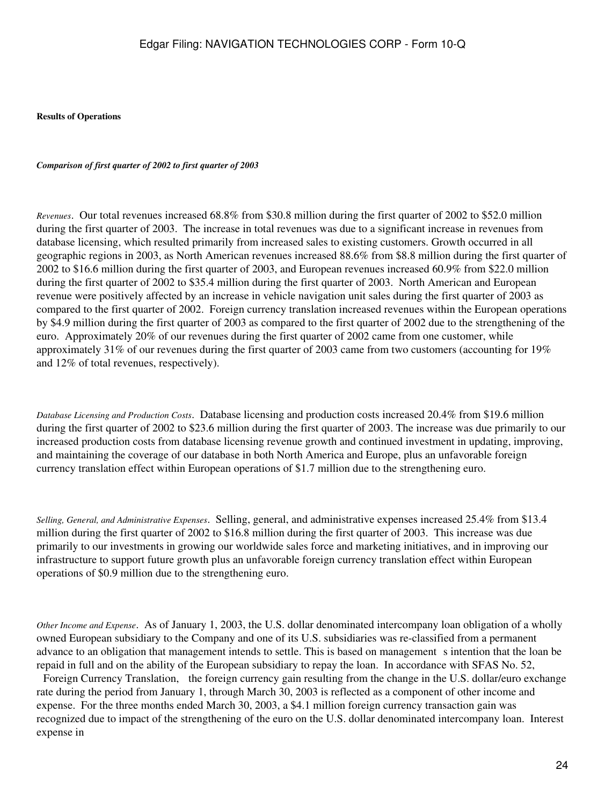**Results of Operations**

#### *Comparison of first quarter of 2002 to first quarter of 2003*

*Revenues*. Our total revenues increased 68.8% from \$30.8 million during the first quarter of 2002 to \$52.0 million during the first quarter of 2003. The increase in total revenues was due to a significant increase in revenues from database licensing, which resulted primarily from increased sales to existing customers. Growth occurred in all geographic regions in 2003, as North American revenues increased 88.6% from \$8.8 million during the first quarter of 2002 to \$16.6 million during the first quarter of 2003, and European revenues increased 60.9% from \$22.0 million during the first quarter of 2002 to \$35.4 million during the first quarter of 2003. North American and European revenue were positively affected by an increase in vehicle navigation unit sales during the first quarter of 2003 as compared to the first quarter of 2002. Foreign currency translation increased revenues within the European operations by \$4.9 million during the first quarter of 2003 as compared to the first quarter of 2002 due to the strengthening of the euro. Approximately 20% of our revenues during the first quarter of 2002 came from one customer, while approximately 31% of our revenues during the first quarter of 2003 came from two customers (accounting for 19% and 12% of total revenues, respectively).

*Database Licensing and Production Costs*. Database licensing and production costs increased 20.4% from \$19.6 million during the first quarter of 2002 to \$23.6 million during the first quarter of 2003. The increase was due primarily to our increased production costs from database licensing revenue growth and continued investment in updating, improving, and maintaining the coverage of our database in both North America and Europe, plus an unfavorable foreign currency translation effect within European operations of \$1.7 million due to the strengthening euro.

*Selling, General, and Administrative Expenses*. Selling, general, and administrative expenses increased 25.4% from \$13.4 million during the first quarter of 2002 to \$16.8 million during the first quarter of 2003. This increase was due primarily to our investments in growing our worldwide sales force and marketing initiatives, and in improving our infrastructure to support future growth plus an unfavorable foreign currency translation effect within European operations of \$0.9 million due to the strengthening euro.

*Other Income and Expense*. As of January 1, 2003, the U.S. dollar denominated intercompany loan obligation of a wholly owned European subsidiary to the Company and one of its U.S. subsidiaries was re-classified from a permanent advance to an obligation that management intends to settle. This is based on management s intention that the loan be repaid in full and on the ability of the European subsidiary to repay the loan. In accordance with SFAS No. 52,

Foreign Currency Translation, the foreign currency gain resulting from the change in the U.S. dollar/euro exchange rate during the period from January 1, through March 30, 2003 is reflected as a component of other income and expense. For the three months ended March 30, 2003, a \$4.1 million foreign currency transaction gain was recognized due to impact of the strengthening of the euro on the U.S. dollar denominated intercompany loan. Interest expense in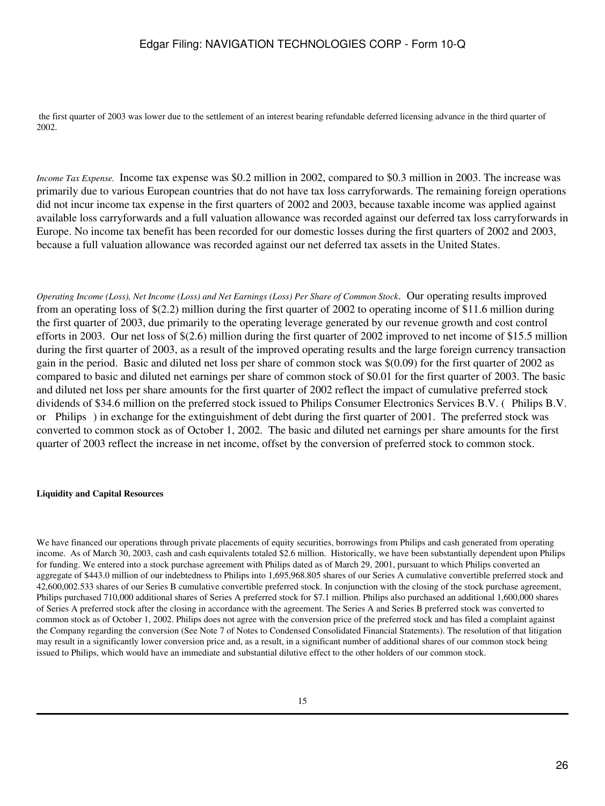the first quarter of 2003 was lower due to the settlement of an interest bearing refundable deferred licensing advance in the third quarter of 2002.

*Income Tax Expense.* Income tax expense was \$0.2 million in 2002, compared to \$0.3 million in 2003. The increase was primarily due to various European countries that do not have tax loss carryforwards. The remaining foreign operations did not incur income tax expense in the first quarters of 2002 and 2003, because taxable income was applied against available loss carryforwards and a full valuation allowance was recorded against our deferred tax loss carryforwards in Europe. No income tax benefit has been recorded for our domestic losses during the first quarters of 2002 and 2003, because a full valuation allowance was recorded against our net deferred tax assets in the United States.

*Operating Income (Loss), Net Income (Loss) and Net Earnings (Loss) Per Share of Common Stock*. Our operating results improved from an operating loss of \$(2.2) million during the first quarter of 2002 to operating income of \$11.6 million during the first quarter of 2003, due primarily to the operating leverage generated by our revenue growth and cost control efforts in 2003. Our net loss of \$(2.6) million during the first quarter of 2002 improved to net income of \$15.5 million during the first quarter of 2003, as a result of the improved operating results and the large foreign currency transaction gain in the period. Basic and diluted net loss per share of common stock was \$(0.09) for the first quarter of 2002 as compared to basic and diluted net earnings per share of common stock of \$0.01 for the first quarter of 2003. The basic and diluted net loss per share amounts for the first quarter of 2002 reflect the impact of cumulative preferred stock dividends of \$34.6 million on the preferred stock issued to Philips Consumer Electronics Services B.V. (Philips B.V. or Philips) in exchange for the extinguishment of debt during the first quarter of 2001. The preferred stock was converted to common stock as of October 1, 2002. The basic and diluted net earnings per share amounts for the first quarter of 2003 reflect the increase in net income, offset by the conversion of preferred stock to common stock.

#### **Liquidity and Capital Resources**

We have financed our operations through private placements of equity securities, borrowings from Philips and cash generated from operating income. As of March 30, 2003, cash and cash equivalents totaled \$2.6 million. Historically, we have been substantially dependent upon Philips for funding. We entered into a stock purchase agreement with Philips dated as of March 29, 2001, pursuant to which Philips converted an aggregate of \$443.0 million of our indebtedness to Philips into 1,695,968.805 shares of our Series A cumulative convertible preferred stock and 42,600,002.533 shares of our Series B cumulative convertible preferred stock. In conjunction with the closing of the stock purchase agreement, Philips purchased 710,000 additional shares of Series A preferred stock for \$7.1 million. Philips also purchased an additional 1,600,000 shares of Series A preferred stock after the closing in accordance with the agreement. The Series A and Series B preferred stock was converted to common stock as of October 1, 2002. Philips does not agree with the conversion price of the preferred stock and has filed a complaint against the Company regarding the conversion (See Note 7 of Notes to Condensed Consolidated Financial Statements). The resolution of that litigation may result in a significantly lower conversion price and, as a result, in a significant number of additional shares of our common stock being issued to Philips, which would have an immediate and substantial dilutive effect to the other holders of our common stock.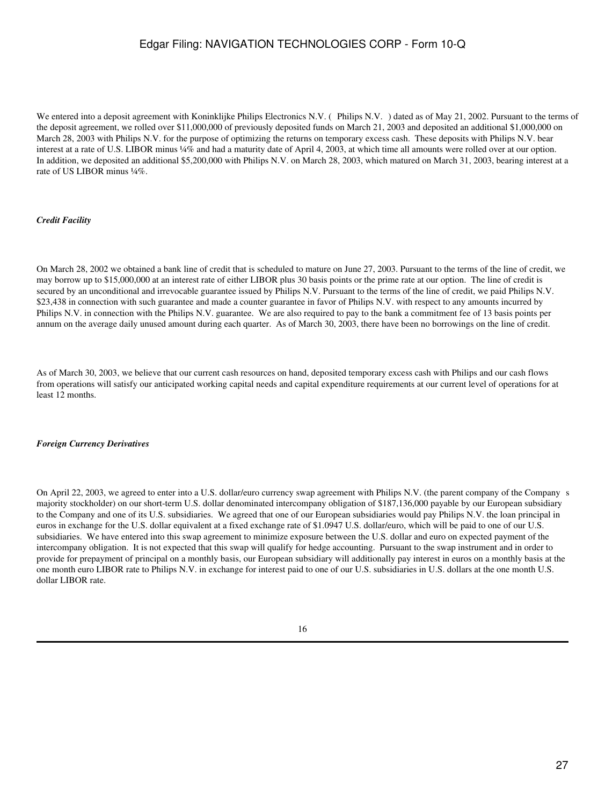We entered into a deposit agreement with Koninklijke Philips Electronics N.V. (Philips N.V.) dated as of May 21, 2002. Pursuant to the terms of the deposit agreement, we rolled over \$11,000,000 of previously deposited funds on March 21, 2003 and deposited an additional \$1,000,000 on March 28, 2003 with Philips N.V. for the purpose of optimizing the returns on temporary excess cash. These deposits with Philips N.V. bear interest at a rate of U.S. LIBOR minus ¼% and had a maturity date of April 4, 2003, at which time all amounts were rolled over at our option. In addition, we deposited an additional \$5,200,000 with Philips N.V. on March 28, 2003, which matured on March 31, 2003, bearing interest at a rate of US LIBOR minus ¼%.

#### *Credit Facility*

On March 28, 2002 we obtained a bank line of credit that is scheduled to mature on June 27, 2003. Pursuant to the terms of the line of credit, we may borrow up to \$15,000,000 at an interest rate of either LIBOR plus 30 basis points or the prime rate at our option. The line of credit is secured by an unconditional and irrevocable guarantee issued by Philips N.V. Pursuant to the terms of the line of credit, we paid Philips N.V. \$23,438 in connection with such guarantee and made a counter guarantee in favor of Philips N.V. with respect to any amounts incurred by Philips N.V. in connection with the Philips N.V. guarantee. We are also required to pay to the bank a commitment fee of 13 basis points per annum on the average daily unused amount during each quarter. As of March 30, 2003, there have been no borrowings on the line of credit.

As of March 30, 2003, we believe that our current cash resources on hand, deposited temporary excess cash with Philips and our cash flows from operations will satisfy our anticipated working capital needs and capital expenditure requirements at our current level of operations for at least 12 months.

#### *Foreign Currency Derivatives*

On April 22, 2003, we agreed to enter into a U.S. dollar/euro currency swap agreement with Philips N.V. (the parent company of the Companys majority stockholder) on our short-term U.S. dollar denominated intercompany obligation of \$187,136,000 payable by our European subsidiary to the Company and one of its U.S. subsidiaries. We agreed that one of our European subsidiaries would pay Philips N.V. the loan principal in euros in exchange for the U.S. dollar equivalent at a fixed exchange rate of \$1.0947 U.S. dollar/euro, which will be paid to one of our U.S. subsidiaries. We have entered into this swap agreement to minimize exposure between the U.S. dollar and euro on expected payment of the intercompany obligation. It is not expected that this swap will qualify for hedge accounting. Pursuant to the swap instrument and in order to provide for prepayment of principal on a monthly basis, our European subsidiary will additionally pay interest in euros on a monthly basis at the one month euro LIBOR rate to Philips N.V. in exchange for interest paid to one of our U.S. subsidiaries in U.S. dollars at the one month U.S. dollar LIBOR rate.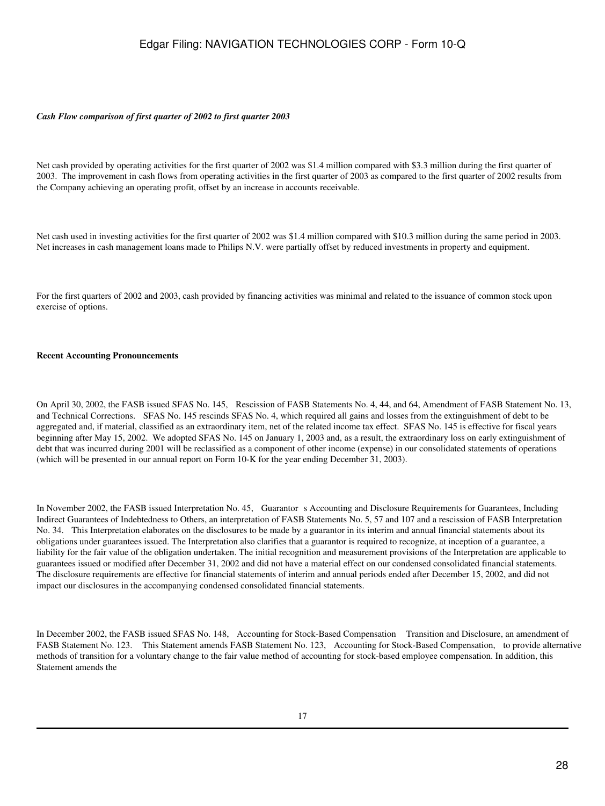#### *Cash Flow comparison of first quarter of 2002 to first quarter 2003*

Net cash provided by operating activities for the first quarter of 2002 was \$1.4 million compared with \$3.3 million during the first quarter of 2003. The improvement in cash flows from operating activities in the first quarter of 2003 as compared to the first quarter of 2002 results from the Company achieving an operating profit, offset by an increase in accounts receivable.

Net cash used in investing activities for the first quarter of 2002 was \$1.4 million compared with \$10.3 million during the same period in 2003. Net increases in cash management loans made to Philips N.V. were partially offset by reduced investments in property and equipment.

For the first quarters of 2002 and 2003, cash provided by financing activities was minimal and related to the issuance of common stock upon exercise of options.

#### **Recent Accounting Pronouncements**

On April 30, 2002, the FASB issued SFAS No. 145, Rescission of FASB Statements No. 4, 44, and 64, Amendment of FASB Statement No. 13, and Technical Corrections. SFAS No. 145 rescinds SFAS No. 4, which required all gains and losses from the extinguishment of debt to be aggregated and, if material, classified as an extraordinary item, net of the related income tax effect. SFAS No. 145 is effective for fiscal years beginning after May 15, 2002. We adopted SFAS No. 145 on January 1, 2003 and, as a result, the extraordinary loss on early extinguishment of debt that was incurred during 2001 will be reclassified as a component of other income (expense) in our consolidated statements of operations (which will be presented in our annual report on Form 10-K for the year ending December 31, 2003).

In November 2002, the FASB issued Interpretation No. 45, Guarantors Accounting and Disclosure Requirements for Guarantees, Including Indirect Guarantees of Indebtedness to Others, an interpretation of FASB Statements No. 5, 57 and 107 and a rescission of FASB Interpretation No. 34. This Interpretation elaborates on the disclosures to be made by a guarantor in its interim and annual financial statements about its obligations under guarantees issued. The Interpretation also clarifies that a guarantor is required to recognize, at inception of a guarantee, a liability for the fair value of the obligation undertaken. The initial recognition and measurement provisions of the Interpretation are applicable to guarantees issued or modified after December 31, 2002 and did not have a material effect on our condensed consolidated financial statements. The disclosure requirements are effective for financial statements of interim and annual periods ended after December 15, 2002, and did not impact our disclosures in the accompanying condensed consolidated financial statements.

In December 2002, the FASB issued SFAS No. 148, Accounting for Stock-Based Compensation Transition and Disclosure, an amendment of FASB Statement No. 123. This Statement amends FASB Statement No. 123, Accounting for Stock-Based Compensation, to provide alternative methods of transition for a voluntary change to the fair value method of accounting for stock-based employee compensation. In addition, this Statement amends the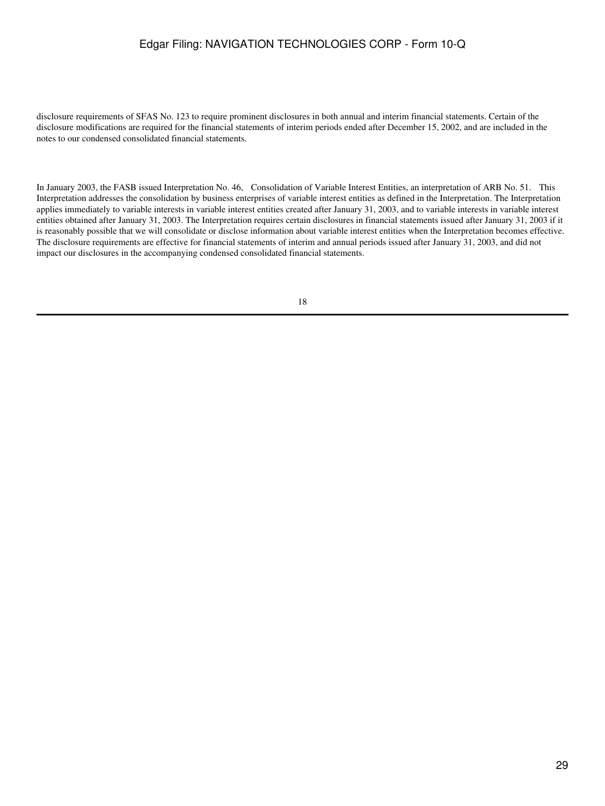disclosure requirements of SFAS No. 123 to require prominent disclosures in both annual and interim financial statements. Certain of the disclosure modifications are required for the financial statements of interim periods ended after December 15, 2002, and are included in the notes to our condensed consolidated financial statements.

In January 2003, the FASB issued Interpretation No. 46, Consolidation of Variable Interest Entities, an interpretation of ARB No. 51. This Interpretation addresses the consolidation by business enterprises of variable interest entities as defined in the Interpretation. The Interpretation applies immediately to variable interests in variable interest entities created after January 31, 2003, and to variable interests in variable interest entities obtained after January 31, 2003. The Interpretation requires certain disclosures in financial statements issued after January 31, 2003 if it is reasonably possible that we will consolidate or disclose information about variable interest entities when the Interpretation becomes effective. The disclosure requirements are effective for financial statements of interim and annual periods issued after January 31, 2003, and did not impact our disclosures in the accompanying condensed consolidated financial statements.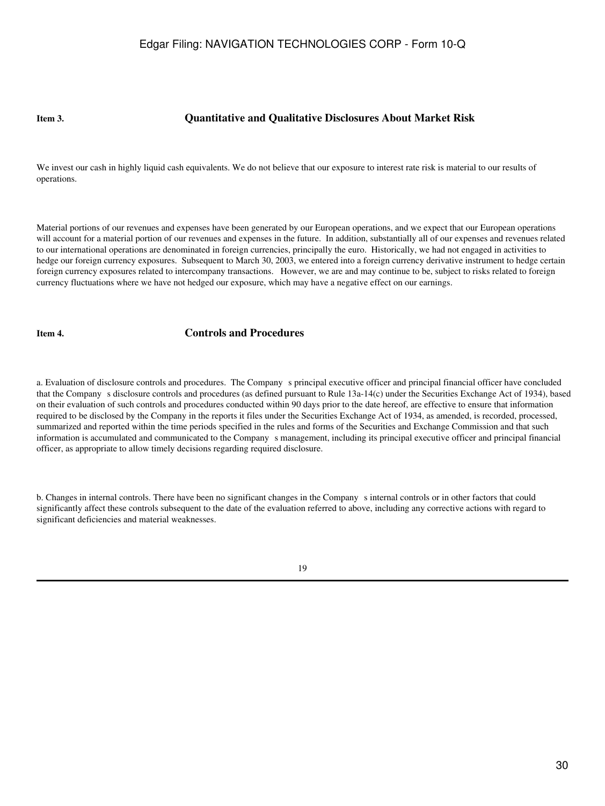#### **Item 3. Quantitative and Qualitative Disclosures About Market Risk**

We invest our cash in highly liquid cash equivalents. We do not believe that our exposure to interest rate risk is material to our results of operations.

Material portions of our revenues and expenses have been generated by our European operations, and we expect that our European operations will account for a material portion of our revenues and expenses in the future. In addition, substantially all of our expenses and revenues related to our international operations are denominated in foreign currencies, principally the euro. Historically, we had not engaged in activities to hedge our foreign currency exposures. Subsequent to March 30, 2003, we entered into a foreign currency derivative instrument to hedge certain foreign currency exposures related to intercompany transactions. However, we are and may continue to be, subject to risks related to foreign currency fluctuations where we have not hedged our exposure, which may have a negative effect on our earnings.

#### **Item 4. Controls and Procedures**

a. Evaluation of disclosure controls and procedures. The Company s principal executive officer and principal financial officer have concluded that the Companys disclosure controls and procedures (as defined pursuant to Rule 13a-14(c) under the Securities Exchange Act of 1934), based on their evaluation of such controls and procedures conducted within 90 days prior to the date hereof, are effective to ensure that information required to be disclosed by the Company in the reports it files under the Securities Exchange Act of 1934, as amended, is recorded, processed, summarized and reported within the time periods specified in the rules and forms of the Securities and Exchange Commission and that such information is accumulated and communicated to the Company s management, including its principal executive officer and principal financial officer, as appropriate to allow timely decisions regarding required disclosure.

b. Changes in internal controls. There have been no significant changes in the Company s internal controls or in other factors that could significantly affect these controls subsequent to the date of the evaluation referred to above, including any corrective actions with regard to significant deficiencies and material weaknesses.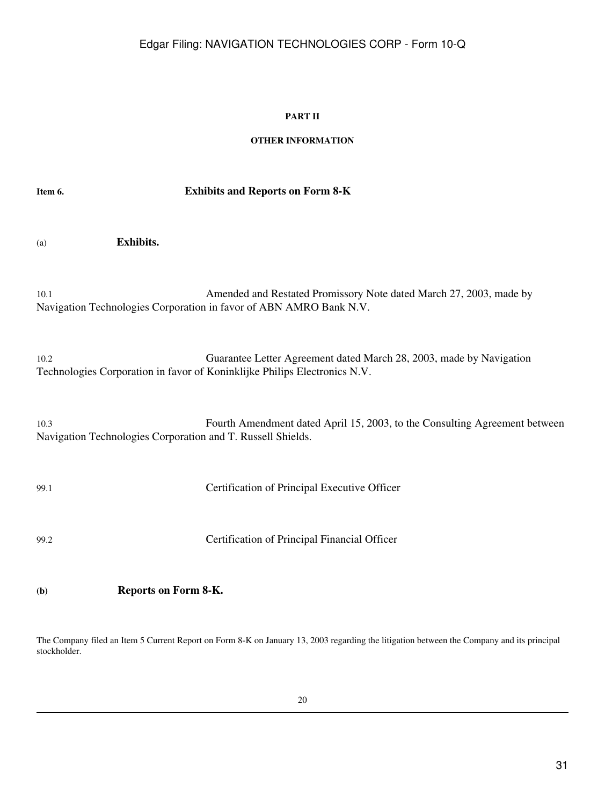### **PART II**

### **OTHER INFORMATION**

| Item 6. | <b>Exhibits and Reports on Form 8-K</b>                                                                                                          |
|---------|--------------------------------------------------------------------------------------------------------------------------------------------------|
| (a)     | Exhibits.                                                                                                                                        |
| 10.1    | Amended and Restated Promissory Note dated March 27, 2003, made by<br>Navigation Technologies Corporation in favor of ABN AMRO Bank N.V.         |
| 10.2    | Guarantee Letter Agreement dated March 28, 2003, made by Navigation<br>Technologies Corporation in favor of Koninklijke Philips Electronics N.V. |
| 10.3    | Fourth Amendment dated April 15, 2003, to the Consulting Agreement between<br>Navigation Technologies Corporation and T. Russell Shields.        |
| 99.1    | Certification of Principal Executive Officer                                                                                                     |
| 99.2    | Certification of Principal Financial Officer                                                                                                     |
| (b)     | Reports on Form 8-K.                                                                                                                             |

The Company filed an Item 5 Current Report on Form 8-K on January 13, 2003 regarding the litigation between the Company and its principal stockholder.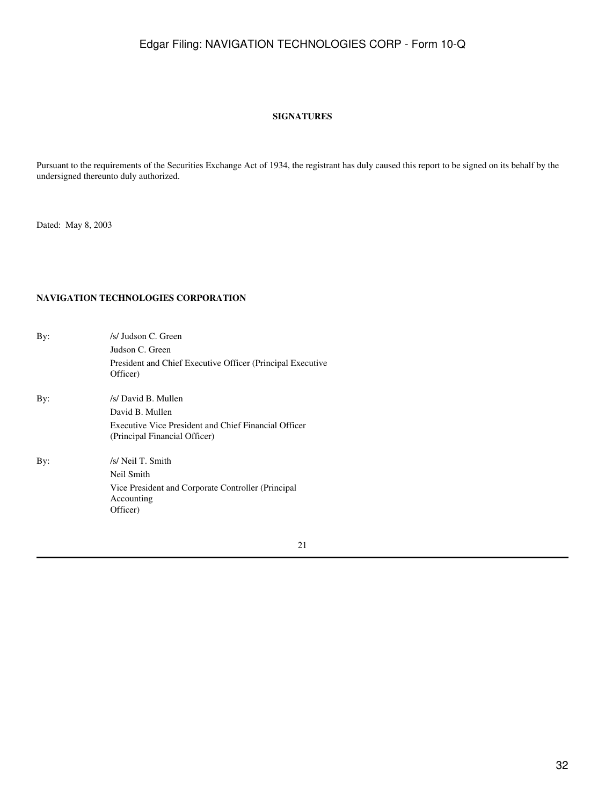#### **SIGNATURES**

Pursuant to the requirements of the Securities Exchange Act of 1934, the registrant has duly caused this report to be signed on its behalf by the undersigned thereunto duly authorized.

Dated: May 8, 2003

#### **NAVIGATION TECHNOLOGIES CORPORATION**

| By: | /s/ Judson C. Green                                                                          |
|-----|----------------------------------------------------------------------------------------------|
|     | Judson C. Green                                                                              |
|     | President and Chief Executive Officer (Principal Executive<br>Officer)                       |
| By: | /s/ David B. Mullen                                                                          |
|     | David B. Mullen                                                                              |
|     | <b>Executive Vice President and Chief Financial Officer</b><br>(Principal Financial Officer) |
| By: | /s/ Neil T. Smith                                                                            |
|     | Neil Smith                                                                                   |
|     | Vice President and Corporate Controller (Principal<br>Accounting<br>Officer)                 |
|     |                                                                                              |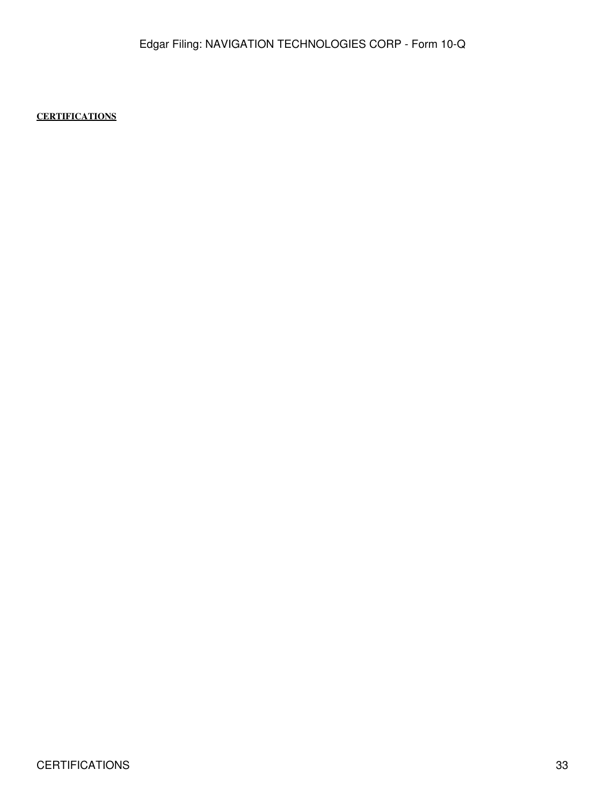**CERTIFICATIONS**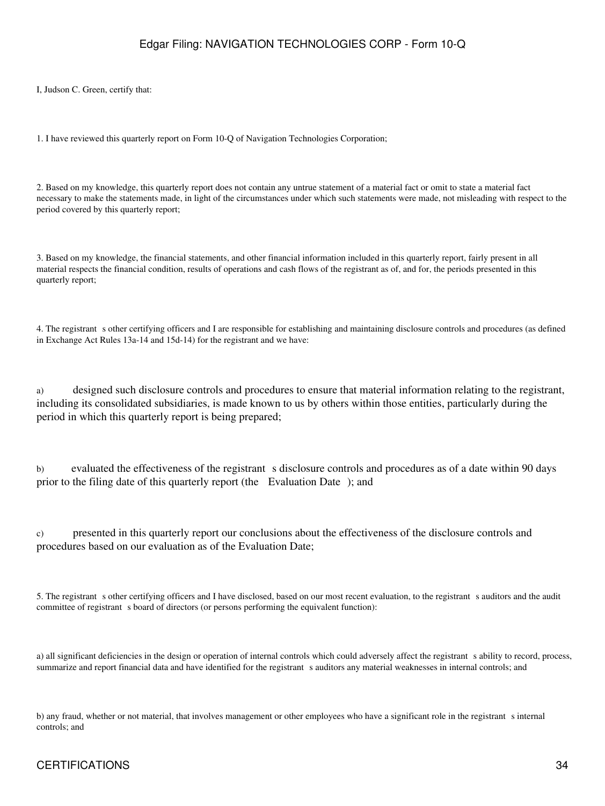I, Judson C. Green, certify that:

1. I have reviewed this quarterly report on Form 10-Q of Navigation Technologies Corporation;

2. Based on my knowledge, this quarterly report does not contain any untrue statement of a material fact or omit to state a material fact necessary to make the statements made, in light of the circumstances under which such statements were made, not misleading with respect to the period covered by this quarterly report;

3. Based on my knowledge, the financial statements, and other financial information included in this quarterly report, fairly present in all material respects the financial condition, results of operations and cash flows of the registrant as of, and for, the periods presented in this quarterly report;

4. The registrant s other certifying officers and I are responsible for establishing and maintaining disclosure controls and procedures (as defined in Exchange Act Rules 13a-14 and 15d-14) for the registrant and we have:

a) designed such disclosure controls and procedures to ensure that material information relating to the registrant, including its consolidated subsidiaries, is made known to us by others within those entities, particularly during the period in which this quarterly report is being prepared;

b) evaluated the effectiveness of the registrant s disclosure controls and procedures as of a date within 90 days prior to the filing date of this quarterly report (the Evaluation Date); and

c) presented in this quarterly report our conclusions about the effectiveness of the disclosure controls and procedures based on our evaluation as of the Evaluation Date;

5. The registrant s other certifying officers and I have disclosed, based on our most recent evaluation, to the registrant s auditors and the audit committee of registrant s board of directors (or persons performing the equivalent function):

a) all significant deficiencies in the design or operation of internal controls which could adversely affect the registrant s ability to record, process, summarize and report financial data and have identified for the registrant s auditors any material weaknesses in internal controls; and

b) any fraud, whether or not material, that involves management or other employees who have a significant role in the registrant sinternal controls; and

# CERTIFICATIONS 34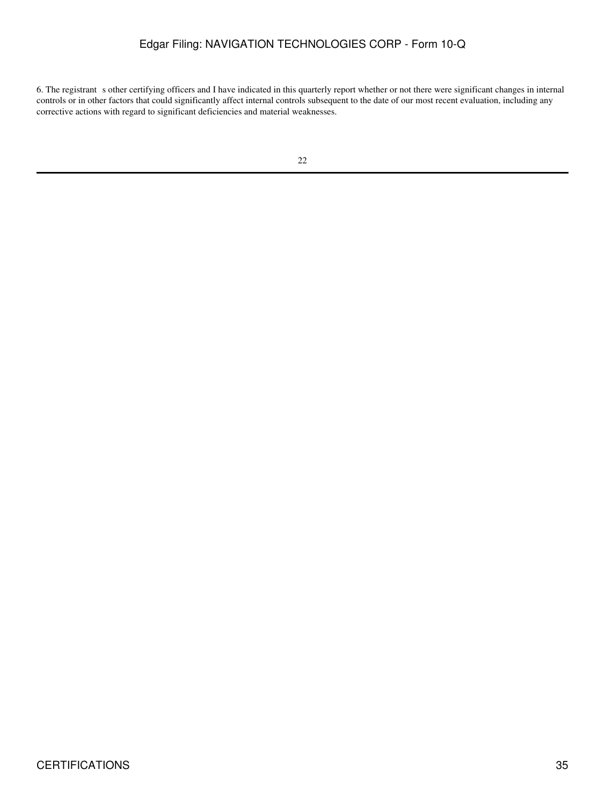6. The registrant s other certifying officers and I have indicated in this quarterly report whether or not there were significant changes in internal controls or in other factors that could significantly affect internal controls subsequent to the date of our most recent evaluation, including any corrective actions with regard to significant deficiencies and material weaknesses.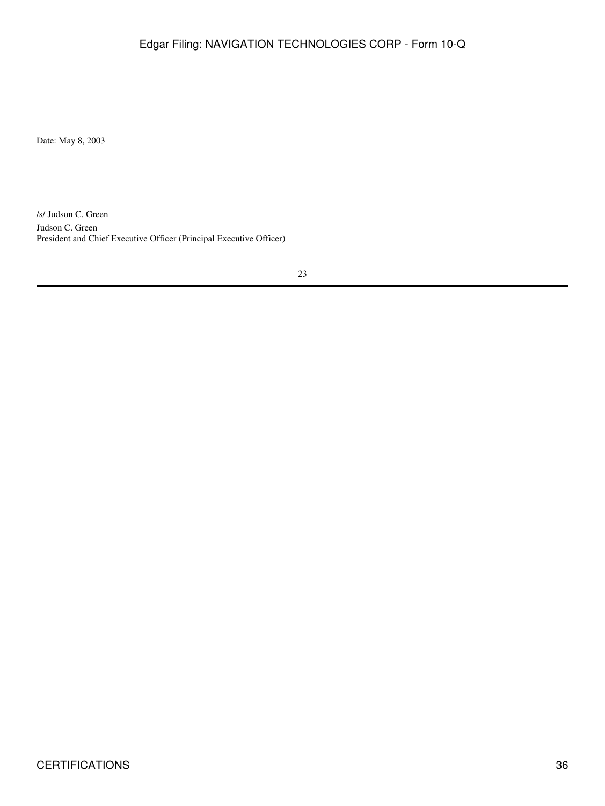Date: May 8, 2003

/s/ Judson C. Green Judson C. Green President and Chief Executive Officer (Principal Executive Officer)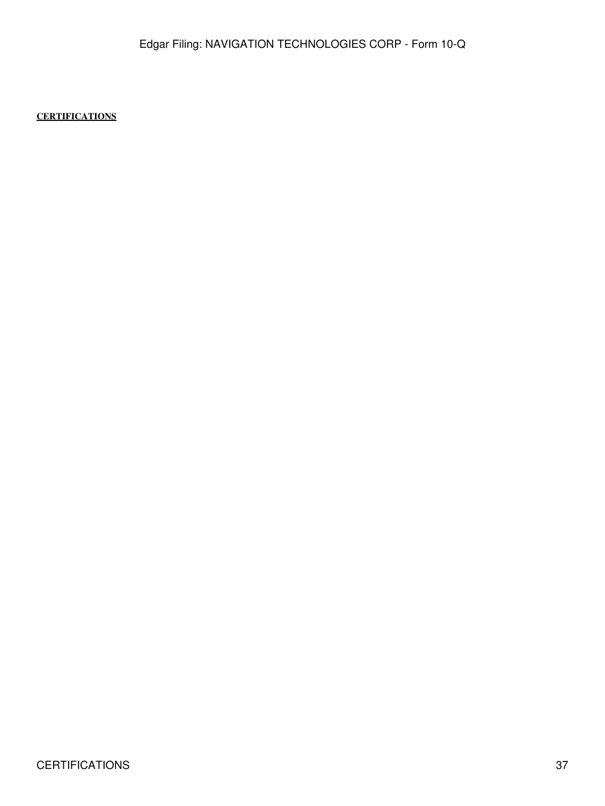**CERTIFICATIONS**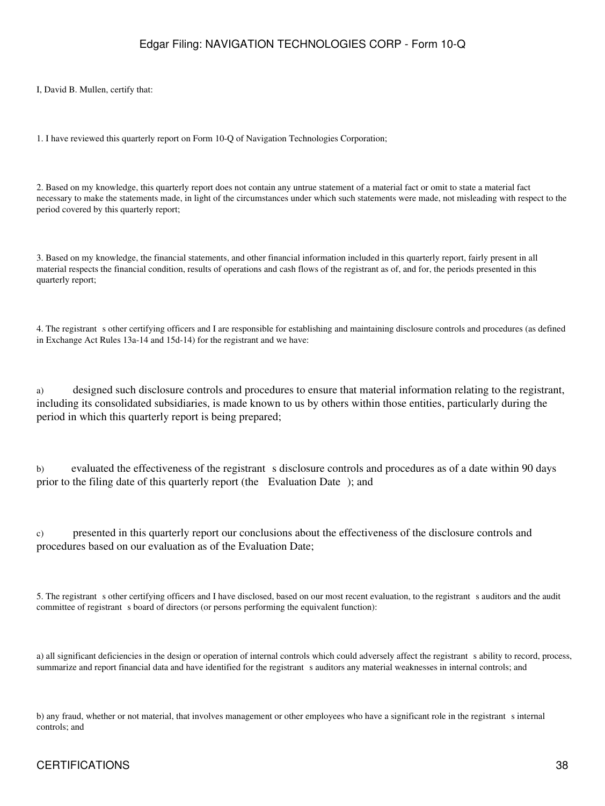I, David B. Mullen, certify that:

1. I have reviewed this quarterly report on Form 10-Q of Navigation Technologies Corporation;

2. Based on my knowledge, this quarterly report does not contain any untrue statement of a material fact or omit to state a material fact necessary to make the statements made, in light of the circumstances under which such statements were made, not misleading with respect to the period covered by this quarterly report;

3. Based on my knowledge, the financial statements, and other financial information included in this quarterly report, fairly present in all material respects the financial condition, results of operations and cash flows of the registrant as of, and for, the periods presented in this quarterly report;

4. The registrant s other certifying officers and I are responsible for establishing and maintaining disclosure controls and procedures (as defined in Exchange Act Rules 13a-14 and 15d-14) for the registrant and we have:

a) designed such disclosure controls and procedures to ensure that material information relating to the registrant, including its consolidated subsidiaries, is made known to us by others within those entities, particularly during the period in which this quarterly report is being prepared;

b) evaluated the effectiveness of the registrant s disclosure controls and procedures as of a date within 90 days prior to the filing date of this quarterly report (the Evaluation Date); and

c) presented in this quarterly report our conclusions about the effectiveness of the disclosure controls and procedures based on our evaluation as of the Evaluation Date;

5. The registrant s other certifying officers and I have disclosed, based on our most recent evaluation, to the registrant s auditors and the audit committee of registrant s board of directors (or persons performing the equivalent function):

a) all significant deficiencies in the design or operation of internal controls which could adversely affect the registrant s ability to record, process, summarize and report financial data and have identified for the registrant s auditors any material weaknesses in internal controls; and

b) any fraud, whether or not material, that involves management or other employees who have a significant role in the registrant sinternal controls; and

# CERTIFICATIONS 38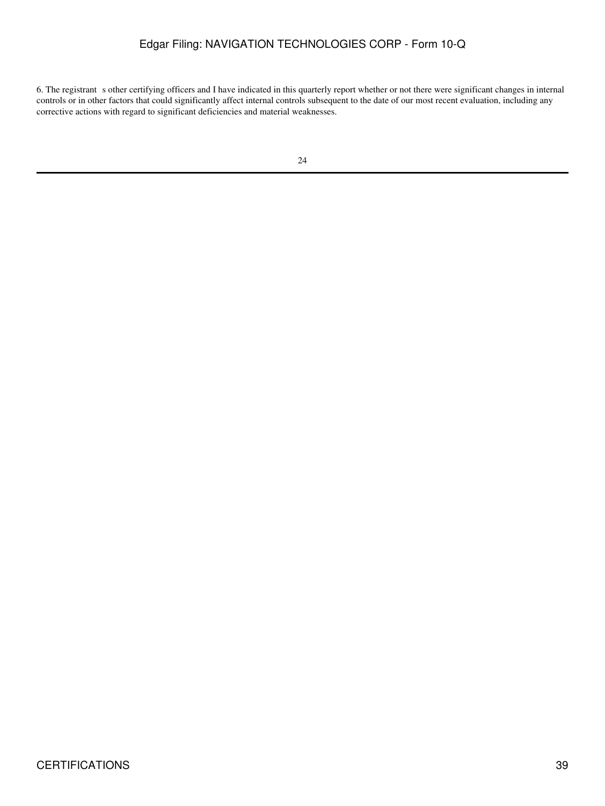6. The registrant s other certifying officers and I have indicated in this quarterly report whether or not there were significant changes in internal controls or in other factors that could significantly affect internal controls subsequent to the date of our most recent evaluation, including any corrective actions with regard to significant deficiencies and material weaknesses.